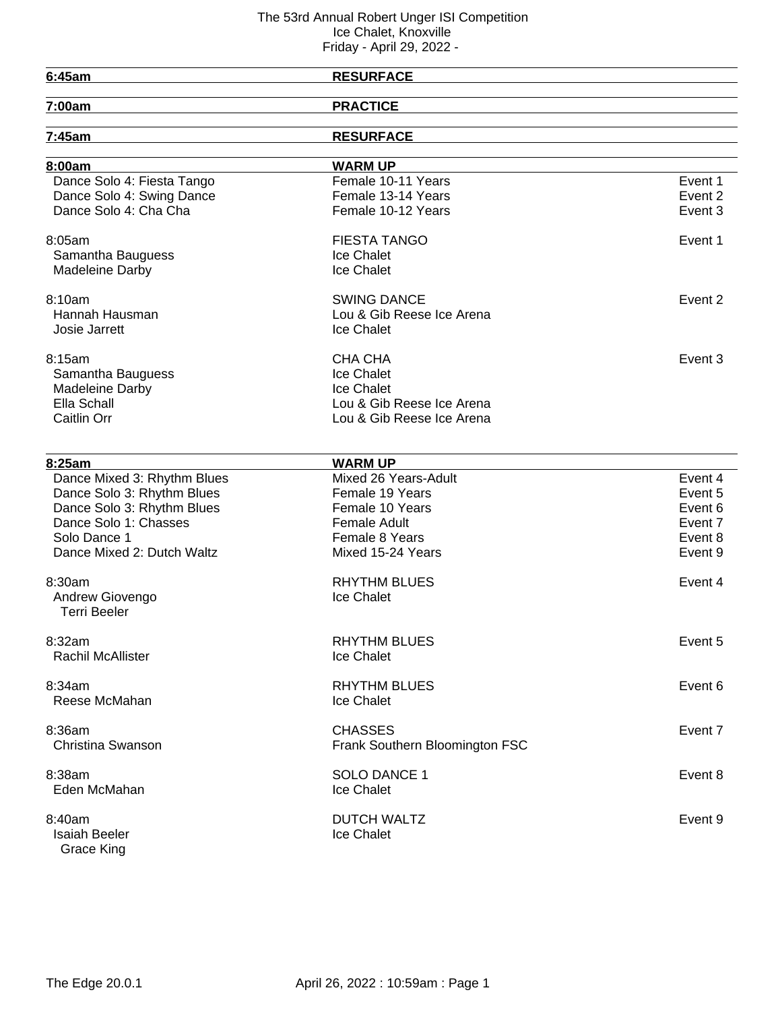| 6:45am                      | <b>RESURFACE</b>               |         |
|-----------------------------|--------------------------------|---------|
| 7:00am                      | <b>PRACTICE</b>                |         |
| 7:45am                      | <b>RESURFACE</b>               |         |
|                             |                                |         |
| 8:00am                      | <b>WARM UP</b>                 |         |
| Dance Solo 4: Fiesta Tango  | Female 10-11 Years             | Event 1 |
| Dance Solo 4: Swing Dance   | Female 13-14 Years             | Event 2 |
| Dance Solo 4: Cha Cha       | Female 10-12 Years             | Event 3 |
| 8:05am                      | <b>FIESTA TANGO</b>            | Event 1 |
| Samantha Bauguess           | Ice Chalet                     |         |
| Madeleine Darby             | Ice Chalet                     |         |
| 8:10am                      | <b>SWING DANCE</b>             | Event 2 |
| Hannah Hausman              | Lou & Gib Reese Ice Arena      |         |
| Josie Jarrett               | Ice Chalet                     |         |
|                             |                                |         |
| 8:15am                      | CHA CHA                        | Event 3 |
| Samantha Bauguess           | Ice Chalet                     |         |
| Madeleine Darby             | Ice Chalet                     |         |
| Ella Schall                 | Lou & Gib Reese Ice Arena      |         |
| Caitlin Orr                 | Lou & Gib Reese Ice Arena      |         |
|                             |                                |         |
| 8:25am                      | <b>WARM UP</b>                 |         |
| Dance Mixed 3: Rhythm Blues | Mixed 26 Years-Adult           | Event 4 |
| Dance Solo 3: Rhythm Blues  | Female 19 Years                | Event 5 |
| Dance Solo 3: Rhythm Blues  | Female 10 Years                | Event 6 |
| Dance Solo 1: Chasses       | <b>Female Adult</b>            | Event 7 |
| Solo Dance 1                | Female 8 Years                 | Event 8 |
| Dance Mixed 2: Dutch Waltz  | Mixed 15-24 Years              | Event 9 |
| 8:30am                      | <b>RHYTHM BLUES</b>            | Event 4 |
| Andrew Giovengo             | Ice Chalet                     |         |
| <b>Terri Beeler</b>         |                                |         |
| 8:32am                      | <b>RHYTHM BLUES</b>            | Event 5 |
| Rachil McAllister           | Ice Chalet                     |         |
|                             |                                |         |
| 8:34am                      | <b>RHYTHM BLUES</b>            | Event 6 |
| Reese McMahan               | Ice Chalet                     |         |
| 8:36am                      | <b>CHASSES</b>                 | Event 7 |
| Christina Swanson           | Frank Southern Bloomington FSC |         |
|                             |                                |         |
| 8:38am                      | <b>SOLO DANCE 1</b>            | Event 8 |
| Eden McMahan                | Ice Chalet                     |         |
| 8:40am                      | <b>DUTCH WALTZ</b>             | Event 9 |
| Isaiah Beeler               | Ice Chalet                     |         |
| Grace King                  |                                |         |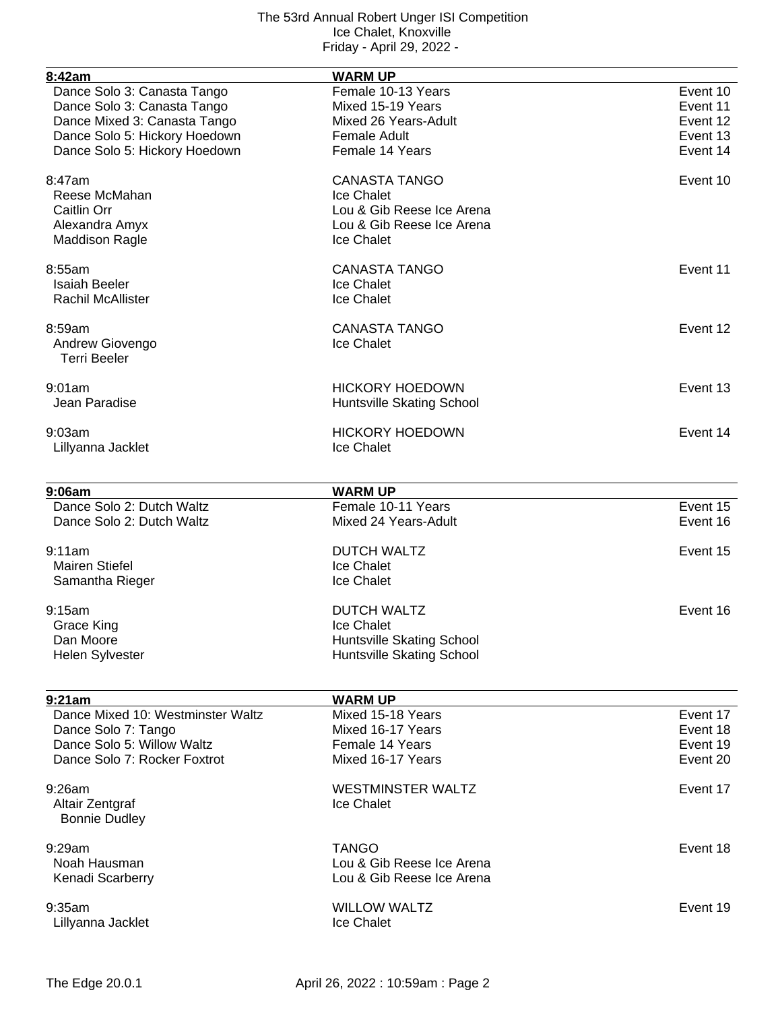| 8:42am                                      | <b>WARM UP</b>                      |          |
|---------------------------------------------|-------------------------------------|----------|
| Dance Solo 3: Canasta Tango                 | Female 10-13 Years                  | Event 10 |
| Dance Solo 3: Canasta Tango                 | Mixed 15-19 Years                   | Event 11 |
| Dance Mixed 3: Canasta Tango                | Mixed 26 Years-Adult                | Event 12 |
| Dance Solo 5: Hickory Hoedown               | <b>Female Adult</b>                 | Event 13 |
| Dance Solo 5: Hickory Hoedown               | Female 14 Years                     | Event 14 |
|                                             |                                     |          |
| 8:47am                                      | <b>CANASTA TANGO</b>                | Event 10 |
| Reese McMahan                               | Ice Chalet                          |          |
| Caitlin Orr                                 | Lou & Gib Reese Ice Arena           |          |
| Alexandra Amyx                              | Lou & Gib Reese Ice Arena           |          |
| <b>Maddison Ragle</b>                       | Ice Chalet                          |          |
| 8:55am                                      | <b>CANASTA TANGO</b>                | Event 11 |
| <b>Isaiah Beeler</b>                        | Ice Chalet                          |          |
| <b>Rachil McAllister</b>                    | Ice Chalet                          |          |
|                                             |                                     |          |
| 8:59am                                      | <b>CANASTA TANGO</b>                | Event 12 |
| Andrew Giovengo                             | Ice Chalet                          |          |
| <b>Terri Beeler</b>                         |                                     |          |
| 9:01am                                      | <b>HICKORY HOEDOWN</b>              | Event 13 |
| Jean Paradise                               | Huntsville Skating School           |          |
|                                             |                                     |          |
| 9:03am                                      | <b>HICKORY HOEDOWN</b>              | Event 14 |
| Lillyanna Jacklet                           | Ice Chalet                          |          |
|                                             |                                     |          |
| 9:06am                                      | <b>WARM UP</b>                      |          |
| Dance Solo 2: Dutch Waltz                   | Female 10-11 Years                  | Event 15 |
| Dance Solo 2: Dutch Waltz                   | Mixed 24 Years-Adult                | Event 16 |
| 9:11am                                      | <b>DUTCH WALTZ</b>                  | Event 15 |
| <b>Mairen Stiefel</b>                       | Ice Chalet                          |          |
| Samantha Rieger                             | Ice Chalet                          |          |
| 9:15am                                      | <b>DUTCH WALTZ</b>                  | Event 16 |
|                                             |                                     |          |
| Grace King                                  | Ice Chalet                          |          |
| Dan Moore                                   | <b>Huntsville Skating School</b>    |          |
| Helen Sylvester                             | Huntsville Skating School           |          |
|                                             |                                     |          |
| 9:21am<br>Dance Mixed 10: Westminster Waltz | <b>WARM UP</b><br>Mixed 15-18 Years | Event 17 |
|                                             | Mixed 16-17 Years                   | Event 18 |
| Dance Solo 7: Tango                         |                                     |          |
| Dance Solo 5: Willow Waltz                  | Female 14 Years                     | Event 19 |
| Dance Solo 7: Rocker Foxtrot                | Mixed 16-17 Years                   | Event 20 |
| 9:26am                                      | <b>WESTMINSTER WALTZ</b>            | Event 17 |
| Altair Zentgraf                             | Ice Chalet                          |          |
| <b>Bonnie Dudley</b>                        |                                     |          |
|                                             |                                     |          |
| 9:29am                                      | <b>TANGO</b>                        | Event 18 |
| Noah Hausman                                | Lou & Gib Reese Ice Arena           |          |
| Kenadi Scarberry                            | Lou & Gib Reese Ice Arena           |          |
| 9:35am                                      | <b>WILLOW WALTZ</b>                 | Event 19 |
| Lillyanna Jacklet                           | Ice Chalet                          |          |
|                                             |                                     |          |
|                                             |                                     |          |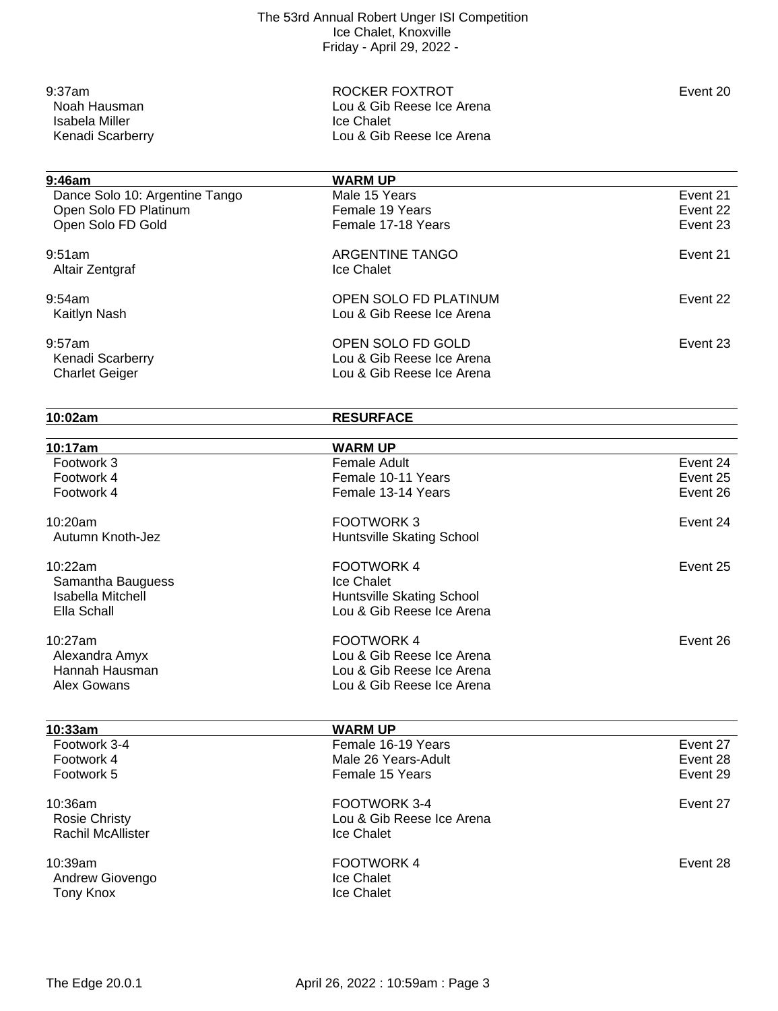9:37am **Event 20** ROCKER FOXTROT Lou & Gib Reese Ice Arena Ice Chalet Lou & Gib Reese Ice Arena

# **9:46am**<br> **Dance Solo 10: Argentine Tango**<br> **WARM UP**<br>
Male 15 Years Dance Solo 10: Argentine Tango Male 15 Years Constanting Solo 10: Argentine Tango Male 15 Years Constanting Solomon Event 21 Constanting Solomon Event 22 Open Solo FD Platinum The Content of Temale 19 Years Content of Temale 19 Years From The Content 22 Content 23<br>Copen Solo FD Gold The Content 23 Open Solo FD Gold eration of the set of the set of the ARGENTINE TANGO ARGENESS AND THE SECTION ARGENTINE TANGO Altair Zentgraf **Ice Chalet**

| 9:54am<br>Kaitlyn Nash                              | OPEN SOLO FD PLATINUM<br>Lou & Gib Reese Ice Arena                          | Event 22 |
|-----------------------------------------------------|-----------------------------------------------------------------------------|----------|
| 9:57am<br>Kenadi Scarberry<br><b>Charlet Geiger</b> | OPEN SOLO FD GOLD<br>Lou & Gib Reese Ice Arena<br>Lou & Gib Reese Ice Arena | Event 23 |

**10:02am RESURFACE**

| 10:17am                  | <b>WARM UP</b>            |          |
|--------------------------|---------------------------|----------|
| Footwork 3               | <b>Female Adult</b>       | Event 24 |
| Footwork 4               | Female 10-11 Years        | Event 25 |
| Footwork 4               | Female 13-14 Years        | Event 26 |
| 10:20am                  | <b>FOOTWORK3</b>          | Event 24 |
| Autumn Knoth-Jez         | Huntsville Skating School |          |
| 10:22am                  | <b>FOOTWORK4</b>          | Event 25 |
| Samantha Bauguess        | Ice Chalet                |          |
| <b>Isabella Mitchell</b> | Huntsville Skating School |          |
| Ella Schall              | Lou & Gib Reese Ice Arena |          |
| 10:27am                  | <b>FOOTWORK4</b>          | Event 26 |
| Alexandra Amyx           | Lou & Gib Reese Ice Arena |          |
| Hannah Hausman           | Lou & Gib Reese Ice Arena |          |
| <b>Alex Gowans</b>       | Lou & Gib Reese Ice Arena |          |
| 10:33am                  | <b>WARM UP</b>            |          |
| Footwork 3-4             | Female 16-19 Years        | Event 27 |
| Footwork 4               | Male 26 Years-Adult       | Event 28 |
| Footwork 5               | Female 15 Years           | Event 29 |
| 10:36am                  | FOOTWORK 3-4              | Event 27 |
| <b>Rosie Christy</b>     | Lou & Gib Reese Ice Arena |          |
| <b>Rachil McAllister</b> | Ice Chalet                |          |
| 10:39am                  | <b>FOOTWORK4</b>          | Event 28 |
| Andrew Giovengo          | Ice Chalet                |          |
| Tony Knox                | Ice Chalet                |          |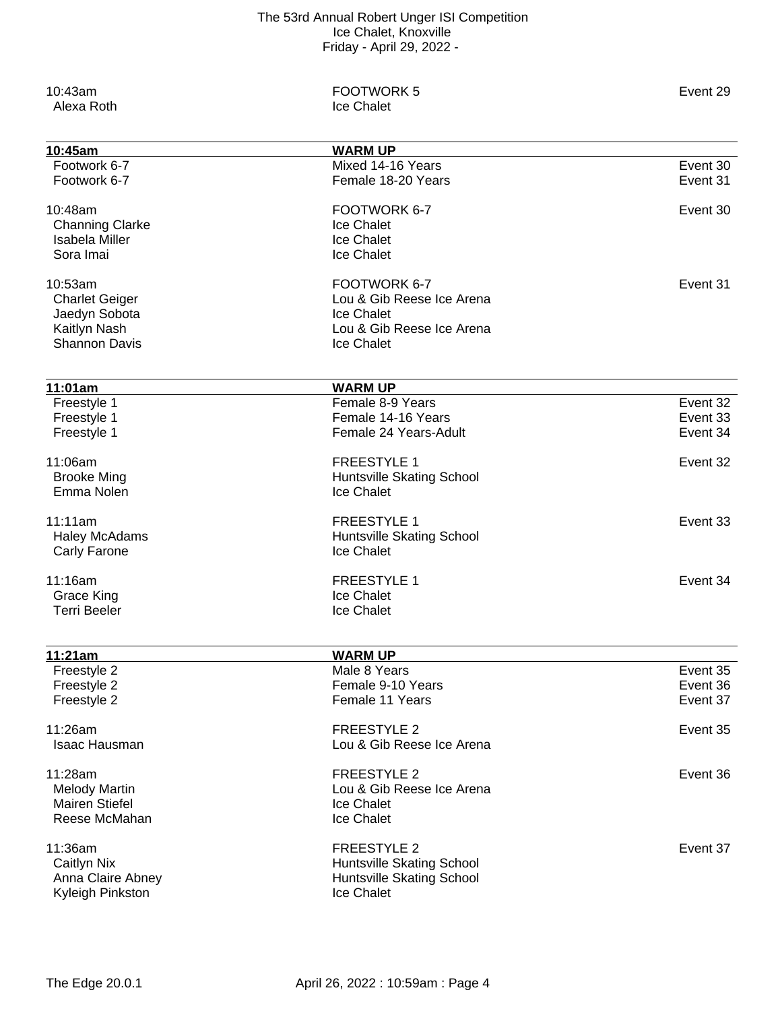| 10:43am<br>Alexa Roth                    | <b>FOOTWORK 5</b><br>Ice Chalet                | Event 29 |
|------------------------------------------|------------------------------------------------|----------|
| 10:45am                                  | <b>WARM UP</b>                                 |          |
| Footwork 6-7                             | Mixed 14-16 Years                              | Event 30 |
| Footwork 6-7                             | Female 18-20 Years                             | Event 31 |
| 10:48am                                  | FOOTWORK 6-7                                   | Event 30 |
| <b>Channing Clarke</b>                   | Ice Chalet                                     |          |
| <b>Isabela Miller</b>                    | Ice Chalet                                     |          |
| Sora Imai                                | Ice Chalet                                     |          |
| 10:53am                                  | FOOTWORK 6-7                                   | Event 31 |
| <b>Charlet Geiger</b>                    | Lou & Gib Reese Ice Arena                      |          |
| Jaedyn Sobota                            | Ice Chalet                                     |          |
| Kaitlyn Nash                             | Lou & Gib Reese Ice Arena                      |          |
| <b>Shannon Davis</b>                     | Ice Chalet                                     |          |
|                                          |                                                |          |
| 11:01am<br>Freestyle 1                   | <b>WARM UP</b><br>Female 8-9 Years             | Event 32 |
| Freestyle 1                              | Female 14-16 Years                             | Event 33 |
| Freestyle 1                              | Female 24 Years-Adult                          | Event 34 |
|                                          |                                                |          |
| 11:06am                                  | <b>FREESTYLE 1</b>                             | Event 32 |
| <b>Brooke Ming</b>                       | Huntsville Skating School                      |          |
| Emma Nolen                               | Ice Chalet                                     |          |
| 11:11am                                  | <b>FREESTYLE 1</b>                             | Event 33 |
| <b>Haley McAdams</b>                     | Huntsville Skating School                      |          |
| Carly Farone                             | Ice Chalet                                     |          |
|                                          |                                                |          |
| 11:16am                                  | <b>FREESTYLE 1</b><br>Ice Chalet               | Event 34 |
| <b>Grace King</b><br><b>Terri Beeler</b> | <b>Ice Chalet</b>                              |          |
|                                          |                                                |          |
| 11:21am                                  | <b>WARM UP</b>                                 |          |
| Freestyle 2                              | Male 8 Years                                   | Event 35 |
| Freestyle 2                              | Female 9-10 Years                              | Event 36 |
| Freestyle 2                              | Female 11 Years                                | Event 37 |
| 11:26am                                  | <b>FREESTYLE 2</b>                             | Event 35 |
| Isaac Hausman                            | Lou & Gib Reese Ice Arena                      |          |
|                                          |                                                |          |
| 11:28am                                  | <b>FREESTYLE 2</b>                             | Event 36 |
| <b>Melody Martin</b>                     | Lou & Gib Reese Ice Arena<br><b>Ice Chalet</b> |          |
| <b>Mairen Stiefel</b><br>Reese McMahan   | Ice Chalet                                     |          |
|                                          |                                                |          |
| 11:36am                                  | <b>FREESTYLE 2</b>                             | Event 37 |
| Caitlyn Nix                              | Huntsville Skating School                      |          |
| Anna Claire Abney                        | Huntsville Skating School                      |          |
| Kyleigh Pinkston                         | Ice Chalet                                     |          |
|                                          |                                                |          |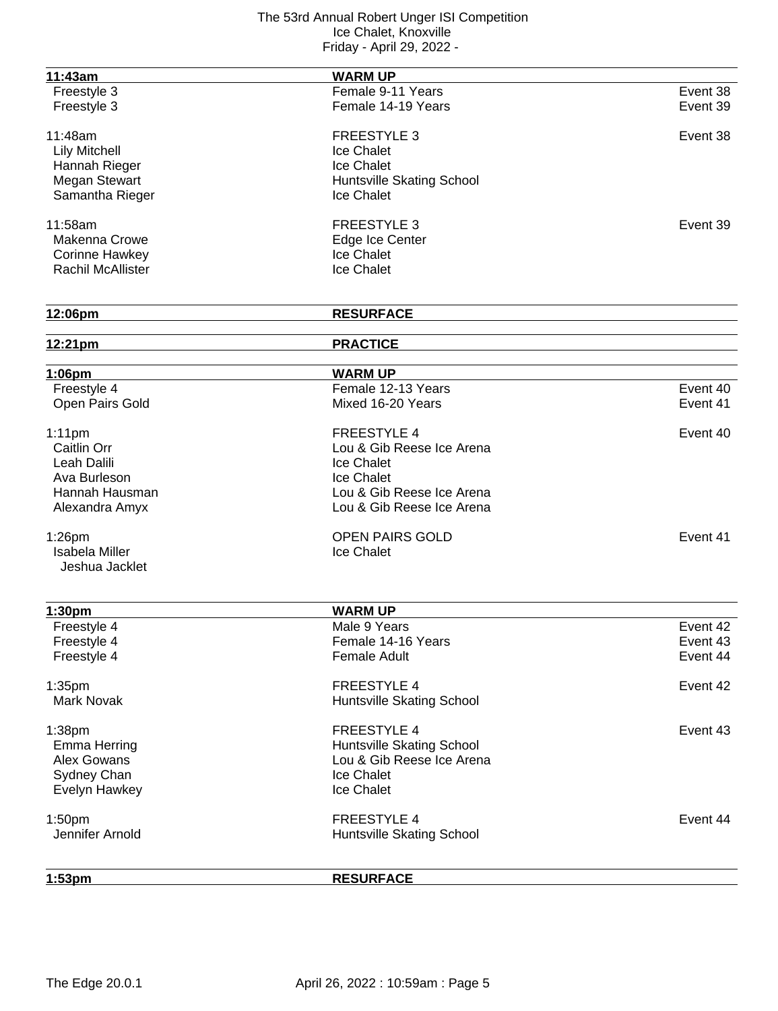| 11:43am               | <b>WARM UP</b>            |          |
|-----------------------|---------------------------|----------|
| Freestyle 3           | Female 9-11 Years         | Event 38 |
| Freestyle 3           | Female 14-19 Years        | Event 39 |
|                       |                           |          |
| 11:48am               | <b>FREESTYLE 3</b>        | Event 38 |
| <b>Lily Mitchell</b>  | Ice Chalet                |          |
| Hannah Rieger         | Ice Chalet                |          |
| Megan Stewart         | Huntsville Skating School |          |
| Samantha Rieger       | Ice Chalet                |          |
| 11:58am               | <b>FREESTYLE 3</b>        | Event 39 |
| Makenna Crowe         | Edge Ice Center           |          |
| <b>Corinne Hawkey</b> | Ice Chalet                |          |
| Rachil McAllister     | Ice Chalet                |          |
|                       |                           |          |
| 12:06pm               | <b>RESURFACE</b>          |          |
|                       | <b>PRACTICE</b>           |          |
| 12:21pm               |                           |          |
| 1:06pm                | <b>WARM UP</b>            |          |
| Freestyle 4           | Female 12-13 Years        | Event 40 |
| Open Pairs Gold       | Mixed 16-20 Years         | Event 41 |
| $1:11$ pm             | <b>FREESTYLE 4</b>        | Event 40 |
| Caitlin Orr           | Lou & Gib Reese Ice Arena |          |
| Leah Dalili           | Ice Chalet                |          |
| Ava Burleson          | Ice Chalet                |          |
| Hannah Hausman        | Lou & Gib Reese Ice Arena |          |
| Alexandra Amyx        | Lou & Gib Reese Ice Arena |          |
|                       |                           |          |
| $1:26$ pm             | <b>OPEN PAIRS GOLD</b>    | Event 41 |
| <b>Isabela Miller</b> | Ice Chalet                |          |
| Jeshua Jacklet        |                           |          |
|                       |                           |          |
| 1:30pm                | <b>WARM UP</b>            |          |
| Freestyle 4           | Male 9 Years              | Event 42 |
| Freestyle 4           | Female 14-16 Years        | Event 43 |
| Freestyle 4           | <b>Female Adult</b>       | Event 44 |
| 1:35 <sub>pm</sub>    | <b>FREESTYLE 4</b>        | Event 42 |
| <b>Mark Novak</b>     | Huntsville Skating School |          |
| 1:38pm                | FREESTYLE 4               | Event 43 |
| <b>Emma Herring</b>   | Huntsville Skating School |          |
| Alex Gowans           | Lou & Gib Reese Ice Arena |          |
| Sydney Chan           | Ice Chalet                |          |
| Evelyn Hawkey         | Ice Chalet                |          |
|                       |                           |          |
| 1:50pm                | <b>FREESTYLE 4</b>        | Event 44 |
| Jennifer Arnold       | Huntsville Skating School |          |
|                       |                           |          |

**1:53pm RESURFACE**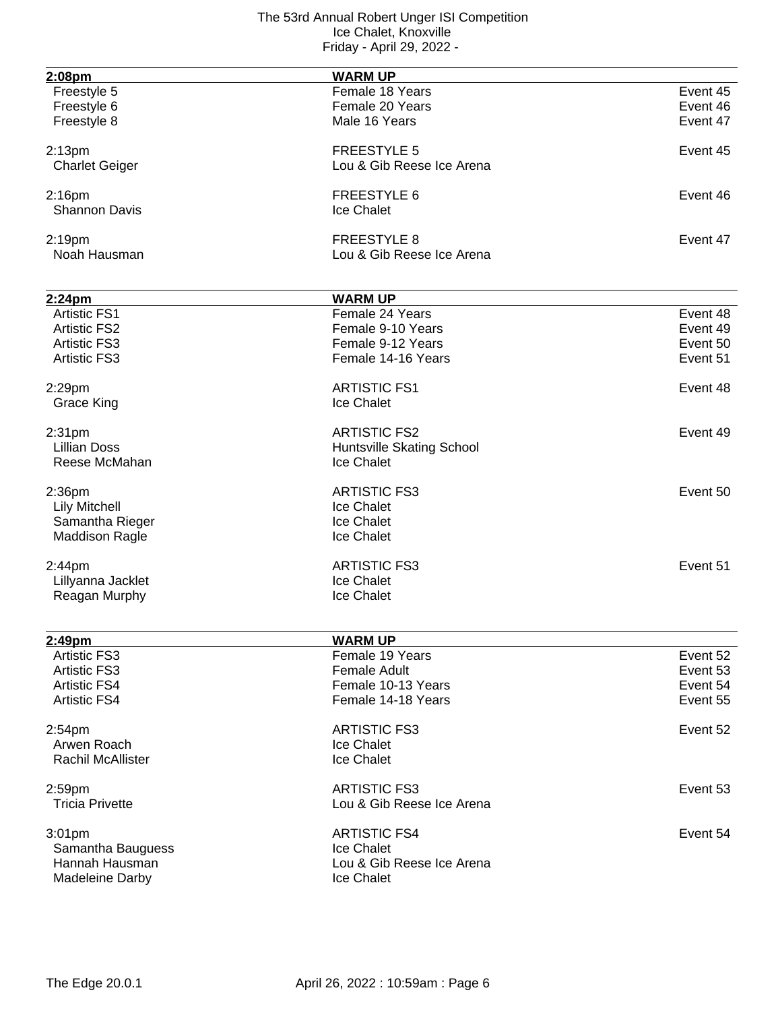| 2:08pm                            | <b>WARM UP</b>            |          |
|-----------------------------------|---------------------------|----------|
| Freestyle 5                       | Female 18 Years           | Event 45 |
| Freestyle 6                       | Female 20 Years           | Event 46 |
| Freestyle 8                       | Male 16 Years             | Event 47 |
|                                   |                           |          |
| 2:13 <sub>pm</sub>                | <b>FREESTYLE 5</b>        | Event 45 |
| <b>Charlet Geiger</b>             | Lou & Gib Reese Ice Arena |          |
|                                   | <b>FREESTYLE 6</b>        | Event 46 |
| $2:16$ pm<br><b>Shannon Davis</b> |                           |          |
|                                   | Ice Chalet                |          |
| 2:19pm                            | <b>FREESTYLE 8</b>        | Event 47 |
| Noah Hausman                      | Lou & Gib Reese Ice Arena |          |
|                                   |                           |          |
| 2:24pm                            | <b>WARM UP</b>            |          |
| <b>Artistic FS1</b>               | Female 24 Years           | Event 48 |
| <b>Artistic FS2</b>               | Female 9-10 Years         | Event 49 |
| <b>Artistic FS3</b>               | Female 9-12 Years         | Event 50 |
| <b>Artistic FS3</b>               | Female 14-16 Years        | Event 51 |
|                                   |                           |          |
| 2:29pm                            | <b>ARTISTIC FS1</b>       | Event 48 |
| <b>Grace King</b>                 | Ice Chalet                |          |
|                                   |                           |          |
| 2:31 <sub>pm</sub>                | <b>ARTISTIC FS2</b>       | Event 49 |
| <b>Lillian Doss</b>               | Huntsville Skating School |          |
| Reese McMahan                     | Ice Chalet                |          |
| 2:36pm                            | <b>ARTISTIC FS3</b>       | Event 50 |
| <b>Lily Mitchell</b>              | Ice Chalet                |          |
| Samantha Rieger                   | Ice Chalet                |          |
| <b>Maddison Ragle</b>             | Ice Chalet                |          |
|                                   |                           |          |
| 2:44pm                            | <b>ARTISTIC FS3</b>       | Event 51 |
| Lillyanna Jacklet                 | Ice Chalet                |          |
| Reagan Murphy                     | Ice Chalet                |          |
|                                   |                           |          |
| 2:49pm                            | <b>WARM UP</b>            |          |
| <b>Artistic FS3</b>               | Female 19 Years           | Event 52 |
| <b>Artistic FS3</b>               | <b>Female Adult</b>       | Event 53 |
| <b>Artistic FS4</b>               | Female 10-13 Years        | Event 54 |
| <b>Artistic FS4</b>               | Female 14-18 Years        | Event 55 |
|                                   |                           |          |
| 2:54 <sub>pm</sub>                | <b>ARTISTIC FS3</b>       | Event 52 |
| Arwen Roach                       | Ice Chalet                |          |
| <b>Rachil McAllister</b>          | Ice Chalet                |          |
| 2:59pm                            | <b>ARTISTIC FS3</b>       | Event 53 |
| <b>Tricia Privette</b>            | Lou & Gib Reese Ice Arena |          |
|                                   |                           |          |
| 3:01 <sub>pm</sub>                | <b>ARTISTIC FS4</b>       | Event 54 |
| Samantha Bauguess                 | Ice Chalet                |          |
| Hannah Hausman                    | Lou & Gib Reese Ice Arena |          |
| Madeleine Darby                   | Ice Chalet                |          |
|                                   |                           |          |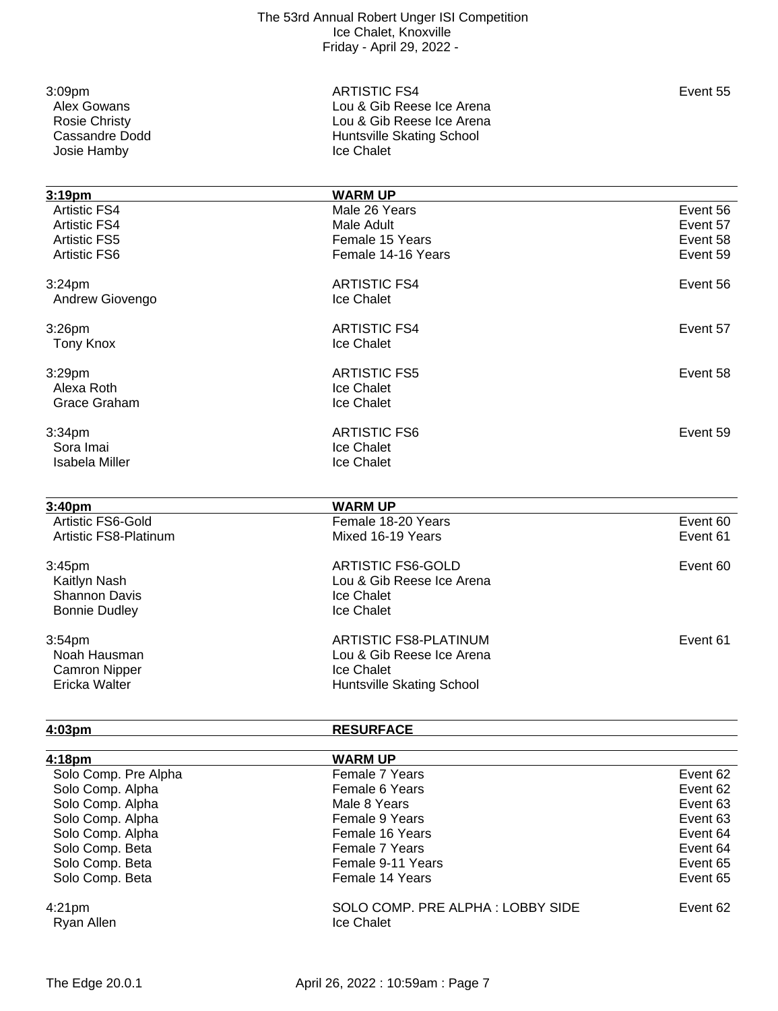| 3:09pm               |
|----------------------|
| Alex Gowans          |
| <b>Rosie Christy</b> |
| Cassandre Dodd       |
| Josie Hamby          |
|                      |

3:09pm ARTISTIC FS4 Event 55 Lou & Gib Reese Ice Arena Lou & Gib Reese Ice Arena Huntsville Skating School Ice Chalet

**3:19pm WARM UP** Male 26 Years **Event 56** Artistic FS4 **Male Adult** Event 57 Male Adult **Artistic FS4** Event 57 Artistic FS5 **Female 15 Years** Female 15 Years **Exent 58**<br>Artistic FS6 **Female 14-16 Years** Female 14-16 Years **Exent 59** Female 14-16 Years 3:24pm ARTISTIC FS4 Event 56 Andrew Giovengo **Ice Chalet** 3:26pm ARTISTIC FS4 Event 57 Tony Knox **Ice Chalet** 3:29pm ARTISTIC FS5 Event 58 Alexa Roth **Ice Chalet** Grace Graham **Ice Chalet** 3:34pm **ARTISTIC FS6** Event 59 Sora Imai **Ice Chalet** Isabela Miller **Internal Community** Ice Chalet **3:40pm WARM UP** Artistic FS6-Gold Female 18-20 Years Event 60 Artistic FS8-Platinum 3:45pm ARTISTIC FS6-GOLD Event 60 Kaitlyn Nash **Lou & Gib Reese Ice Arena** Shannon Davis **Ice Chalet** Bonnie Dudley **Ice Chalet** 3:54pm ARTISTIC FS8-PLATINUM Event 61 Lou & Gib Reese Ice Arena Camron Nipper **Ice Chalet**<br>
Ericka Walter **Internal Contract Contract Chalet**<br>
Huntsville Huntsville Skating School

**4:03pm RESURFACE**

| 4:18 <sub>pm</sub>               | <b>WARM UP</b>                                 |          |
|----------------------------------|------------------------------------------------|----------|
| Solo Comp. Pre Alpha             | Female 7 Years                                 | Event 62 |
| Solo Comp. Alpha                 | Female 6 Years                                 | Event 62 |
| Solo Comp. Alpha                 | Male 8 Years                                   | Event 63 |
| Solo Comp. Alpha                 | Female 9 Years                                 | Event 63 |
| Solo Comp. Alpha                 | Female 16 Years                                | Event 64 |
| Solo Comp. Beta                  | Female 7 Years                                 | Event 64 |
| Solo Comp. Beta                  | Female 9-11 Years                              | Event 65 |
| Solo Comp. Beta                  | Female 14 Years                                | Event 65 |
| 4:21 <sub>pm</sub><br>Ryan Allen | SOLO COMP. PRE ALPHA: LOBBY SIDE<br>Ice Chalet | Event 62 |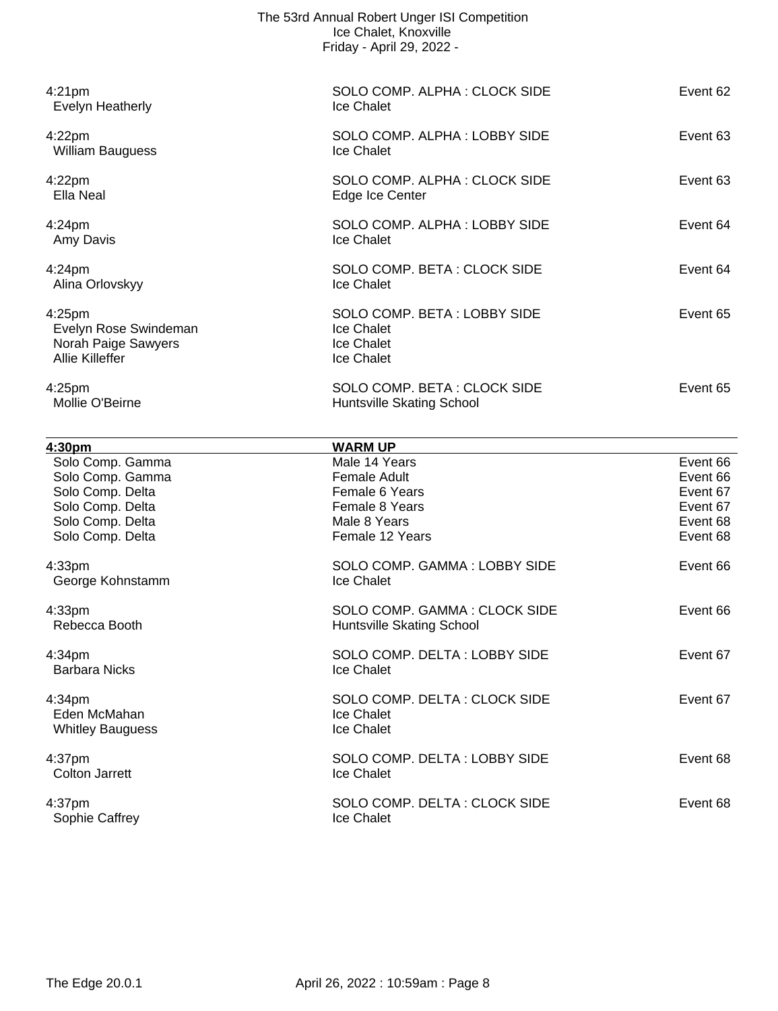| The 53rd Annual Robert Unger ISI Competition |
|----------------------------------------------|
| Ice Chalet, Knoxville                        |
| Friday - April 29, 2022 -                    |

| 4:21 <sub>pm</sub><br>Evelyn Heatherly                                                | SOLO COMP. ALPHA: CLOCK SIDE<br><b>Ice Chalet</b>                     | Event 62 |
|---------------------------------------------------------------------------------------|-----------------------------------------------------------------------|----------|
| 4:22 <sub>pm</sub><br><b>William Bauguess</b>                                         | SOLO COMP. ALPHA: LOBBY SIDE<br>Ice Chalet                            | Event 63 |
| 4:22 <sub>pm</sub><br>Ella Neal                                                       | SOLO COMP. ALPHA: CLOCK SIDE<br>Edge Ice Center                       | Event 63 |
| 4:24 <sub>pm</sub><br>Amy Davis                                                       | SOLO COMP. ALPHA: LOBBY SIDE<br>Ice Chalet                            | Event 64 |
| 4:24 <sub>pm</sub><br>Alina Orlovskyy                                                 | SOLO COMP. BETA: CLOCK SIDE<br>Ice Chalet                             | Event 64 |
| 4:25 <sub>pm</sub><br>Evelyn Rose Swindeman<br>Norah Paige Sawyers<br>Allie Killeffer | SOLO COMP. BETA: LOBBY SIDE<br>Ice Chalet<br>Ice Chalet<br>Ice Chalet | Event 65 |
| 4:25 <sub>pm</sub><br>Mollie O'Beirne                                                 | SOLO COMP. BETA: CLOCK SIDE<br>Huntsville Skating School              | Event 65 |

| 4:30pm                                            | <b>WARM UP</b>                                            |          |
|---------------------------------------------------|-----------------------------------------------------------|----------|
| Solo Comp. Gamma                                  | Male 14 Years                                             | Event 66 |
| Solo Comp. Gamma                                  | Female Adult                                              | Event 66 |
| Solo Comp. Delta                                  | Female 6 Years                                            | Event 67 |
| Solo Comp. Delta                                  | <b>Female 8 Years</b>                                     | Event 67 |
| Solo Comp. Delta                                  | Male 8 Years                                              | Event 68 |
| Solo Comp. Delta                                  | Female 12 Years                                           | Event 68 |
| 4:33 <sub>pm</sub><br>George Kohnstamm            | SOLO COMP. GAMMA: LOBBY SIDE<br>Ice Chalet                | Event 66 |
| 4:33 <sub>pm</sub><br>Rebecca Booth               | SOLO COMP. GAMMA: CLOCK SIDE<br>Huntsville Skating School | Event 66 |
| 4:34 <sub>pm</sub><br><b>Barbara Nicks</b>        | SOLO COMP. DELTA: LOBBY SIDE<br>Ice Chalet                | Event 67 |
| 4:34pm<br>Eden McMahan<br><b>Whitley Bauguess</b> | SOLO COMP. DELTA: CLOCK SIDE<br>Ice Chalet<br>Ice Chalet  | Event 67 |
| 4:37 <sub>pm</sub><br>Colton Jarrett              | SOLO COMP. DELTA: LOBBY SIDE<br>Ice Chalet                | Event 68 |
| 4:37 <sub>pm</sub><br>Sophie Caffrey              | SOLO COMP. DELTA: CLOCK SIDE<br>Ice Chalet                | Event 68 |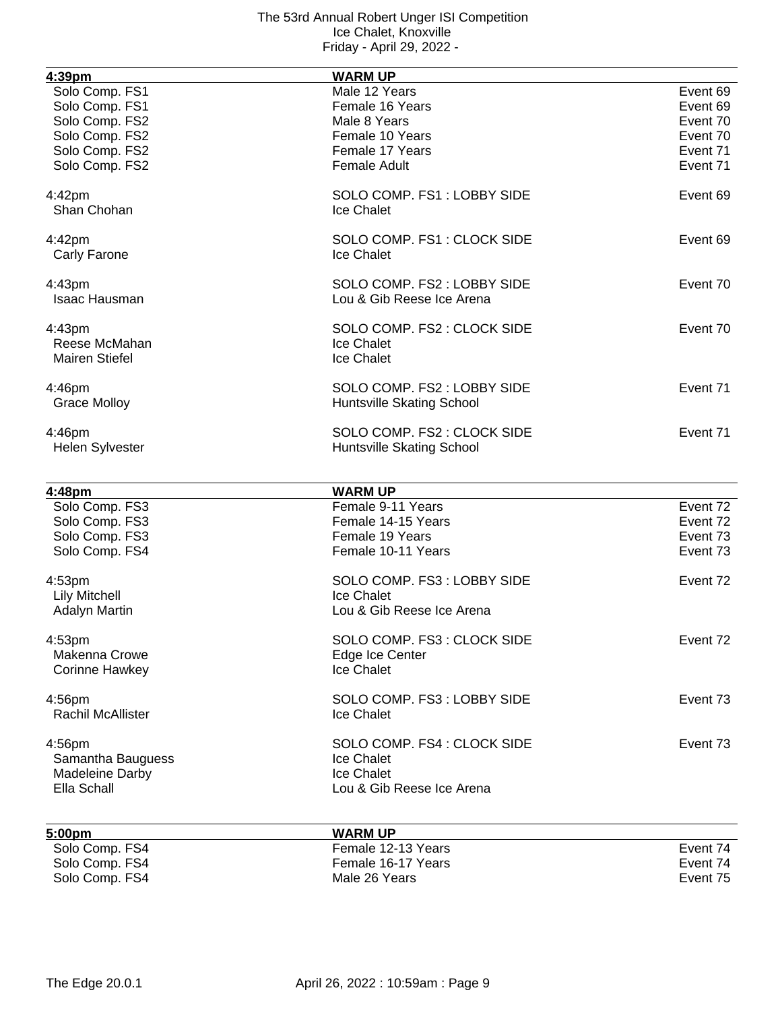| 4:39pm                                           | <b>WARM UP</b>                                           |          |
|--------------------------------------------------|----------------------------------------------------------|----------|
| Solo Comp. FS1                                   | Male 12 Years                                            | Event 69 |
| Solo Comp. FS1                                   | Female 16 Years                                          | Event 69 |
| Solo Comp. FS2                                   | Male 8 Years                                             | Event 70 |
| Solo Comp. FS2                                   | Female 10 Years                                          | Event 70 |
| Solo Comp. FS2                                   | Female 17 Years                                          | Event 71 |
| Solo Comp. FS2                                   | <b>Female Adult</b>                                      | Event 71 |
|                                                  |                                                          |          |
| 4:42pm<br>Shan Chohan                            | SOLO COMP. FS1: LOBBY SIDE<br>Ice Chalet                 | Event 69 |
| 4:42pm<br>Carly Farone                           | SOLO COMP. FS1: CLOCK SIDE<br>Ice Chalet                 | Event 69 |
| 4:43pm<br>Isaac Hausman                          | SOLO COMP. FS2 : LOBBY SIDE<br>Lou & Gib Reese Ice Arena | Event 70 |
| 4:43pm<br>Reese McMahan<br><b>Mairen Stiefel</b> | SOLO COMP. FS2 : CLOCK SIDE<br>Ice Chalet<br>Ice Chalet  | Event 70 |
| 4:46pm<br><b>Grace Molloy</b>                    | SOLO COMP. FS2 : LOBBY SIDE<br>Huntsville Skating School | Event 71 |
| 4:46pm<br><b>Helen Sylvester</b>                 | SOLO COMP. FS2 : CLOCK SIDE<br>Huntsville Skating School | Event 71 |
| 4:48pm                                           | <b>WARM UP</b>                                           |          |
| Solo Comp. FS3                                   | Female 9-11 Years                                        | Event 72 |
| Solo Comp. FS3                                   | Female 14-15 Years                                       | Event 72 |
| Solo Comp. FS3                                   | Female 19 Years                                          | Event 73 |
| Solo Comp. FS4                                   | Female 10-11 Years                                       | Event 73 |
|                                                  |                                                          |          |
| 4:53pm                                           | SOLO COMP. FS3: LOBBY SIDE                               | Event 72 |
| <b>Lily Mitchell</b>                             | Ice Chalet                                               |          |
| <b>Adalyn Martin</b>                             | Lou & Gib Reese Ice Arena                                |          |
| 4:53pm                                           | SOLO COMP. FS3: CLOCK SIDE                               | Event 72 |
| Makenna Crowe                                    | Edge Ice Center                                          |          |
| <b>Corinne Hawkey</b>                            | Ice Chalet                                               |          |
|                                                  |                                                          |          |
| 4:56pm                                           | SOLO COMP. FS3: LOBBY SIDE                               | Event 73 |
| Rachil McAllister                                | Ice Chalet                                               |          |
| 4:56pm                                           | SOLO COMP. FS4 : CLOCK SIDE                              | Event 73 |
| Samantha Bauguess                                | Ice Chalet                                               |          |
| Madeleine Darby                                  | Ice Chalet                                               |          |
| Ella Schall                                      | Lou & Gib Reese Ice Arena                                |          |
|                                                  |                                                          |          |

| 5:00pm         | <b>WARM UP</b>     |          |
|----------------|--------------------|----------|
| Solo Comp. FS4 | Female 12-13 Years | Event 74 |
| Solo Comp. FS4 | Female 16-17 Years | Event 74 |
| Solo Comp. FS4 | Male 26 Years      | Event 75 |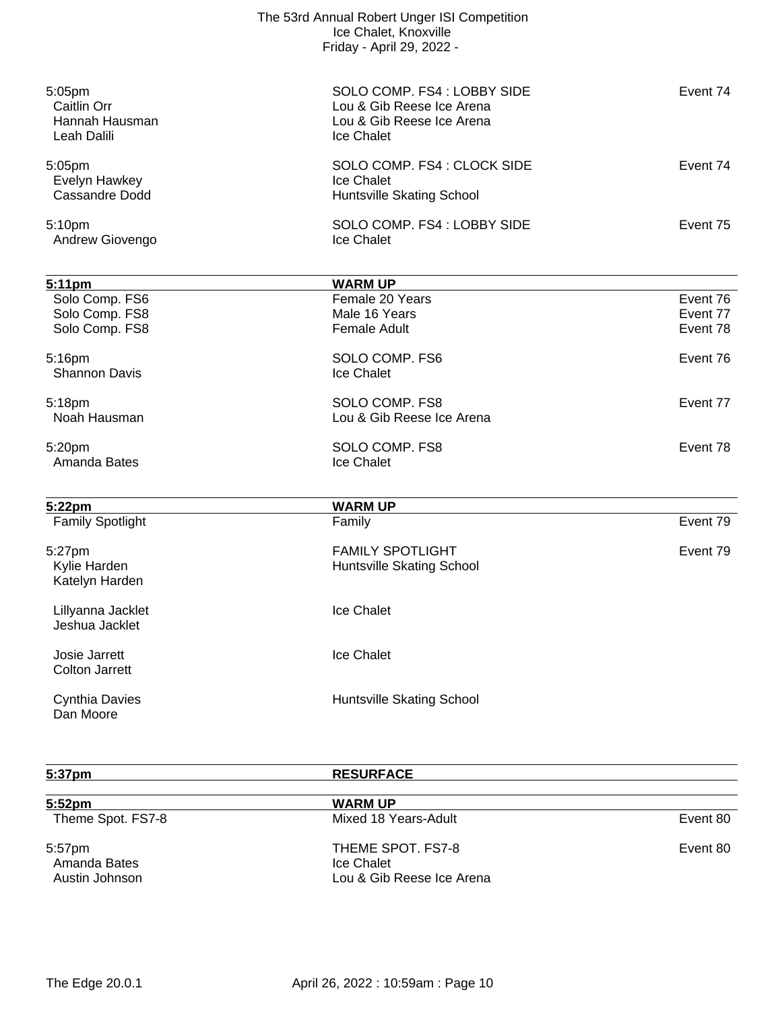|                                                        | The 53rd Annual Robert Unger ISI Competition<br>Ice Chalet, Knoxville<br>Friday - April 29, 2022 - |          |
|--------------------------------------------------------|----------------------------------------------------------------------------------------------------|----------|
| 5:05pm<br>Caitlin Orr<br>Hannah Hausman<br>Leah Dalili | SOLO COMP. FS4: LOBBY SIDE<br>Lou & Gib Reese Ice Arena<br>Lou & Gib Reese Ice Arena<br>Ice Chalet | Event 74 |
| 5:05pm<br>Evelyn Hawkey<br>Cassandre Dodd              | SOLO COMP. FS4 : CLOCK SIDE<br>Ice Chalet<br>Huntsville Skating School                             | Event 74 |
| 5:10pm<br>Andrew Giovengo                              | SOLO COMP. FS4 : LOBBY SIDE<br>Ice Chalet                                                          | Event 75 |
|                                                        |                                                                                                    |          |
| 5:11pm<br>Solo Comp. FS6                               | <b>WARM UP</b><br>Female 20 Years                                                                  | Event 76 |
| Solo Comp. FS8                                         | Male 16 Years                                                                                      | Event 77 |
| Solo Comp. FS8                                         | <b>Female Adult</b>                                                                                | Event 78 |
| 5:16pm<br><b>Shannon Davis</b>                         | SOLO COMP. FS6<br>Ice Chalet                                                                       | Event 76 |
|                                                        |                                                                                                    |          |
| 5:18pm<br>Noah Hausman                                 | SOLO COMP. FS8<br>Lou & Gib Reese Ice Arena                                                        | Event 77 |
|                                                        |                                                                                                    |          |
| 5:20pm                                                 | SOLO COMP. FS8                                                                                     | Event 78 |
| Amanda Bates                                           | Ice Chalet                                                                                         |          |
| 5:22pm                                                 | <b>WARM UP</b>                                                                                     |          |
| <b>Family Spotlight</b>                                | Family                                                                                             | Event 79 |
| 5:27pm                                                 | <b>FAMILY SPOTLIGHT</b>                                                                            | Event 79 |
| Kylie Harden                                           | Huntsville Skating School                                                                          |          |
| Katelyn Harden                                         |                                                                                                    |          |
| Lillyanna Jacklet                                      | Ice Chalet                                                                                         |          |
| Jeshua Jacklet                                         |                                                                                                    |          |
| Josie Jarrett                                          | Ice Chalet                                                                                         |          |
| <b>Colton Jarrett</b>                                  |                                                                                                    |          |
|                                                        |                                                                                                    |          |
| <b>Cynthia Davies</b><br>Dan Moore                     | Huntsville Skating School                                                                          |          |
|                                                        |                                                                                                    |          |
|                                                        |                                                                                                    |          |

| 5:37pm                                   | <b>RESURFACE</b>                                             |          |
|------------------------------------------|--------------------------------------------------------------|----------|
| 5:52 <sub>pm</sub>                       | <b>WARM UP</b>                                               |          |
| Theme Spot. FS7-8                        | Mixed 18 Years-Adult                                         | Event 80 |
| 5:57pm<br>Amanda Bates<br>Austin Johnson | THEME SPOT. FS7-8<br>Ice Chalet<br>Lou & Gib Reese Ice Arena | Event 80 |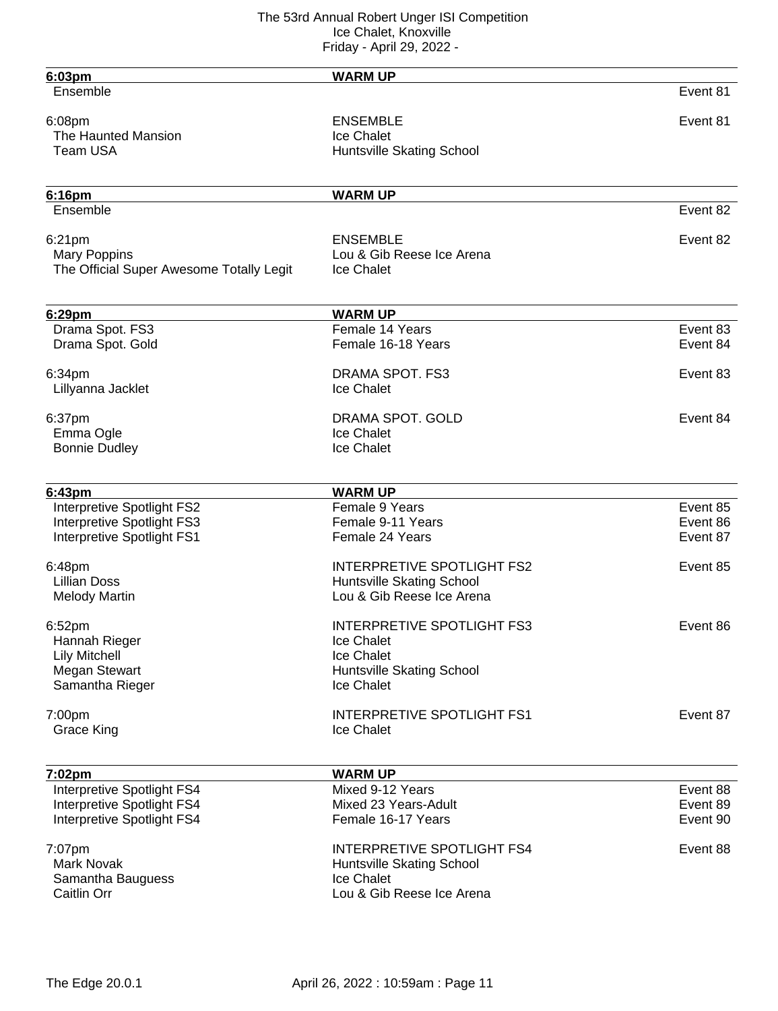| 6:03pm                                   | <b>WARM UP</b>                    |          |
|------------------------------------------|-----------------------------------|----------|
| Ensemble                                 |                                   | Event 81 |
| 6:08pm                                   | <b>ENSEMBLE</b>                   | Event 81 |
| The Haunted Mansion                      | Ice Chalet                        |          |
| Team USA                                 |                                   |          |
|                                          | Huntsville Skating School         |          |
| 6:16pm                                   | <b>WARM UP</b>                    |          |
| Ensemble                                 |                                   | Event 82 |
| 6:21pm                                   | <b>ENSEMBLE</b>                   | Event 82 |
| <b>Mary Poppins</b>                      | Lou & Gib Reese Ice Arena         |          |
| The Official Super Awesome Totally Legit | Ice Chalet                        |          |
| 6:29pm                                   | <b>WARM UP</b>                    |          |
| Drama Spot. FS3                          | Female 14 Years                   | Event 83 |
| Drama Spot. Gold                         | Female 16-18 Years                | Event 84 |
|                                          |                                   |          |
| 6:34pm                                   | <b>DRAMA SPOT. FS3</b>            | Event 83 |
| Lillyanna Jacklet                        | Ice Chalet                        |          |
| 6:37pm                                   | DRAMA SPOT. GOLD                  | Event 84 |
| Emma Ogle                                | Ice Chalet                        |          |
|                                          |                                   |          |
| <b>Bonnie Dudley</b>                     | Ice Chalet                        |          |
|                                          | <b>WARM UP</b>                    |          |
| 6:43pm                                   | Female 9 Years                    | Event 85 |
| Interpretive Spotlight FS2               |                                   |          |
| Interpretive Spotlight FS3               | Female 9-11 Years                 | Event 86 |
| Interpretive Spotlight FS1               | Female 24 Years                   | Event 87 |
| 6:48pm                                   | <b>INTERPRETIVE SPOTLIGHT FS2</b> | Event 85 |
| <b>Lillian Doss</b>                      | Huntsville Skating School         |          |
| <b>Melody Martin</b>                     | Lou & Gib Reese Ice Arena         |          |
|                                          |                                   |          |
| 6:52pm                                   | <b>INTERPRETIVE SPOTLIGHT FS3</b> | Event 86 |
| Hannah Rieger                            | Ice Chalet                        |          |
| <b>Lily Mitchell</b>                     | Ice Chalet                        |          |
| Megan Stewart                            | Huntsville Skating School         |          |
| Samantha Rieger                          | Ice Chalet                        |          |
| 7:00pm                                   | <b>INTERPRETIVE SPOTLIGHT FS1</b> | Event 87 |
| Grace King                               | Ice Chalet                        |          |
|                                          |                                   |          |
| 7:02pm                                   | <b>WARM UP</b>                    |          |
| Interpretive Spotlight FS4               | Mixed 9-12 Years                  | Event 88 |
| Interpretive Spotlight FS4               | Mixed 23 Years-Adult              | Event 89 |
| Interpretive Spotlight FS4               | Female 16-17 Years                | Event 90 |
|                                          |                                   |          |
| 7:07pm                                   | <b>INTERPRETIVE SPOTLIGHT FS4</b> | Event 88 |
| Mark Novak                               | Huntsville Skating School         |          |
| Samantha Bauguess                        | Ice Chalet                        |          |
| Caitlin Orr                              | Lou & Gib Reese Ice Arena         |          |
|                                          |                                   |          |
|                                          |                                   |          |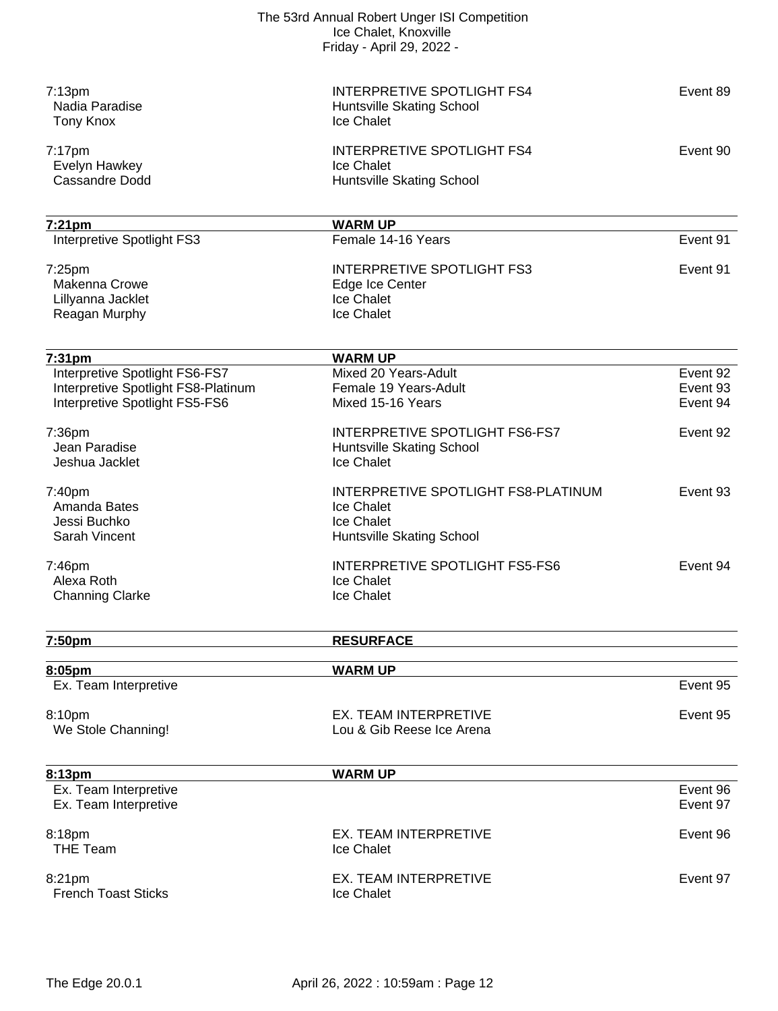|                                                                       | The 53rd Annual Robert Unger ISI Competition<br>Ice Chalet, Knoxville<br>Friday - April 29, 2022 - |                      |
|-----------------------------------------------------------------------|----------------------------------------------------------------------------------------------------|----------------------|
| 7:13 <sub>pm</sub><br>Nadia Paradise<br>Tony Knox                     | <b>INTERPRETIVE SPOTLIGHT FS4</b><br>Huntsville Skating School<br>Ice Chalet                       | Event 89             |
| $7:17$ pm<br>Evelyn Hawkey<br><b>Cassandre Dodd</b>                   | <b>INTERPRETIVE SPOTLIGHT FS4</b><br>Ice Chalet<br>Huntsville Skating School                       | Event 90             |
| 7:21pm                                                                | <b>WARM UP</b>                                                                                     |                      |
| Interpretive Spotlight FS3                                            | Female 14-16 Years                                                                                 | Event 91             |
| $7:25$ pm<br>Makenna Crowe<br>Lillyanna Jacklet<br>Reagan Murphy      | <b>INTERPRETIVE SPOTLIGHT FS3</b><br>Edge Ice Center<br>Ice Chalet<br>Ice Chalet                   | Event 91             |
| 7:31pm                                                                | <b>WARM UP</b>                                                                                     |                      |
| Interpretive Spotlight FS6-FS7<br>Interpretive Spotlight FS8-Platinum | Mixed 20 Years-Adult<br>Female 19 Years-Adult                                                      | Event 92<br>Event 93 |
| Interpretive Spotlight FS5-FS6                                        | Mixed 15-16 Years                                                                                  | Event 94             |
| 7:36pm<br>Jean Paradise<br>Jeshua Jacklet                             | <b>INTERPRETIVE SPOTLIGHT FS6-FS7</b><br>Huntsville Skating School<br>Ice Chalet                   | Event 92             |
| 7:40pm<br>Amanda Bates<br>Jessi Buchko<br>Sarah Vincent               | INTERPRETIVE SPOTLIGHT FS8-PLATINUM<br>Ice Chalet<br>Ice Chalet<br>Huntsville Skating School       | Event 93             |
| $7:46$ pm<br>Alexa Roth<br><b>Channing Clarke</b>                     | <b>INTERPRETIVE SPOTLIGHT FS5-FS6</b><br>Ice Chalet<br>Ice Chalet                                  | Event 94             |
| 7:50pm                                                                | <b>RESURFACE</b>                                                                                   |                      |
|                                                                       |                                                                                                    |                      |
| 8:05pm<br>Ex. Team Interpretive                                       | <b>WARM UP</b>                                                                                     | Event 95             |
|                                                                       |                                                                                                    |                      |
| 8:10pm<br>We Stole Channing!                                          | EX. TEAM INTERPRETIVE<br>Lou & Gib Reese Ice Arena                                                 | Event 95             |
| 8:13pm                                                                | <b>WARM UP</b>                                                                                     |                      |
| Ex. Team Interpretive<br>Ex. Team Interpretive                        |                                                                                                    | Event 96<br>Event 97 |
| 8:18pm<br><b>THE Team</b>                                             | EX. TEAM INTERPRETIVE<br>Ice Chalet                                                                | Event 96             |
| 8:21pm<br><b>French Toast Sticks</b>                                  | EX. TEAM INTERPRETIVE<br>Ice Chalet                                                                | Event 97             |
|                                                                       |                                                                                                    |                      |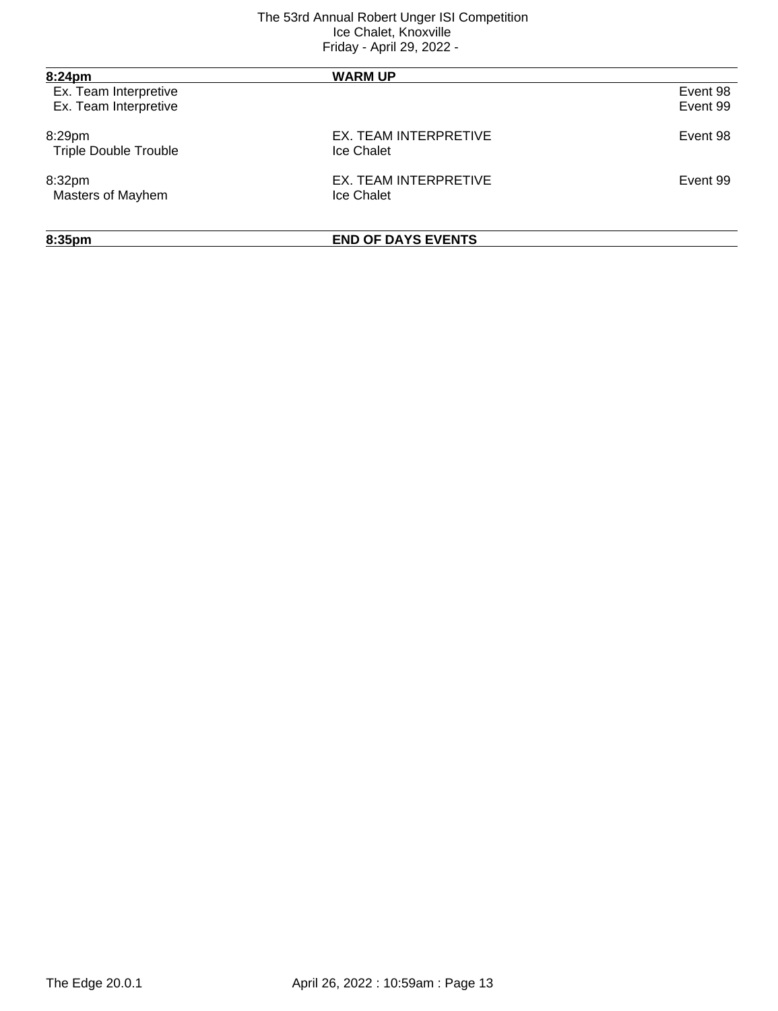| 8:24pm                       | <b>WARM UP</b>            |          |
|------------------------------|---------------------------|----------|
| Ex. Team Interpretive        |                           | Event 98 |
| Ex. Team Interpretive        |                           | Event 99 |
| 8:29pm                       | EX. TEAM INTERPRETIVE     | Event 98 |
| <b>Triple Double Trouble</b> | Ice Chalet                |          |
| 8:32pm                       | EX. TEAM INTERPRETIVE     | Event 99 |
| Masters of Mayhem            | Ice Chalet                |          |
| 8:35pm                       | <b>END OF DAYS EVENTS</b> |          |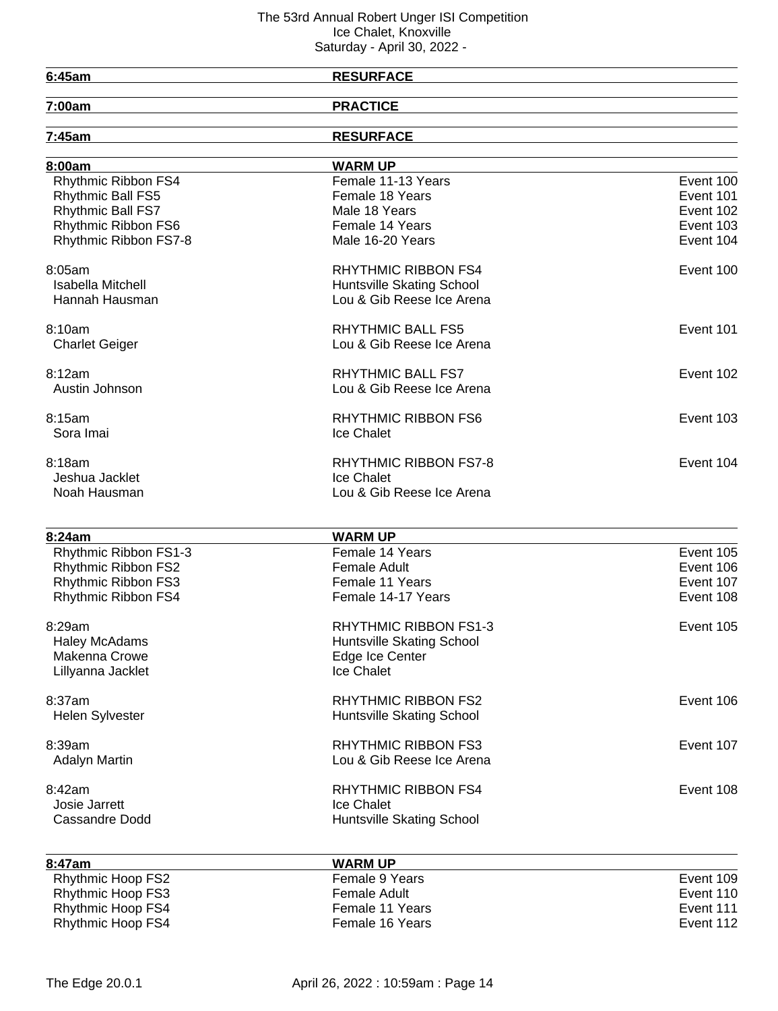<u> 1989 - Johann Stoff, deutscher Stoffen und der Stoffen und der Stoffen und der Stoffen und der Stoffen und der</u>

# **6:45am RESURFACE**

| -- |  | . |  |  |
|----|--|---|--|--|
|    |  |   |  |  |
|    |  |   |  |  |
|    |  |   |  |  |
|    |  |   |  |  |
|    |  |   |  |  |

**7:00am PRACTICE**

| 7:45am                   | <b>RESURFACE</b>             |           |
|--------------------------|------------------------------|-----------|
| 8:00am                   | <b>WARM UP</b>               |           |
| Rhythmic Ribbon FS4      | Female 11-13 Years           | Event 100 |
| Rhythmic Ball FS5        | Female 18 Years              | Event 101 |
| Rhythmic Ball FS7        | Male 18 Years                | Event 102 |
| Rhythmic Ribbon FS6      | Female 14 Years              | Event 103 |
| Rhythmic Ribbon FS7-8    | Male 16-20 Years             | Event 104 |
| 8:05am                   | <b>RHYTHMIC RIBBON FS4</b>   | Event 100 |
| <b>Isabella Mitchell</b> | Huntsville Skating School    |           |
| Hannah Hausman           | Lou & Gib Reese Ice Arena    |           |
| 8:10am                   | <b>RHYTHMIC BALL FS5</b>     | Event 101 |
| <b>Charlet Geiger</b>    | Lou & Gib Reese Ice Arena    |           |
| 8:12am                   | RHYTHMIC BALL FS7            | Event 102 |
| Austin Johnson           | Lou & Gib Reese Ice Arena    |           |
| 8:15am                   | <b>RHYTHMIC RIBBON FS6</b>   | Event 103 |
| Sora Imai                | Ice Chalet                   |           |
| 8:18am                   | <b>RHYTHMIC RIBBON FS7-8</b> | Event 104 |
| Jeshua Jacklet           | Ice Chalet                   |           |
| Noah Hausman             | Lou & Gib Reese Ice Arena    |           |
|                          |                              |           |
| 8:24am                   | <b>WARM UP</b>               |           |
| Rhythmic Ribbon FS1-3    | Female 14 Years              | Event 105 |
| Rhythmic Ribbon FS2      | <b>Female Adult</b>          | Event 106 |
| Rhythmic Ribbon FS3      | Female 11 Years              | Event 107 |
| Rhythmic Ribbon FS4      | Female 14-17 Years           | Event 108 |
| 8:29am                   | <b>RHYTHMIC RIBBON FS1-3</b> | Event 105 |
| <b>Haley McAdams</b>     | Huntsville Skating School    |           |
| Makenna Crowe            | Edge Ice Center              |           |
| Lillyanna Jacklet        | Ice Chalet                   |           |
| 8:37am                   | <b>RHYTHMIC RIBBON FS2</b>   | Event 106 |
| <b>Helen Sylvester</b>   | Huntsville Skating School    |           |
| 8:39am                   | <b>RHYTHMIC RIBBON FS3</b>   | Event 107 |
| <b>Adalyn Martin</b>     | Lou & Gib Reese Ice Arena    |           |
| 8:42am                   | <b>RHYTHMIC RIBBON FS4</b>   | Event 108 |
| Josie Jarrett            | Ice Chalet                   |           |
| Cassandre Dodd           | Huntsville Skating School    |           |
| 8:47am                   | <b>WARM UP</b>               |           |
| Rhythmic Hoop FS2        | Female 9 Years               | Event 109 |
| Rhythmic Hoop FS3        | <b>Female Adult</b>          | Event 110 |
|                          |                              |           |

Rhythmic Hoop FS4 **Female 11 Years** Female 11 Years **Exercise Execution** Event 111 Rhythmic Hoop FS4 Female 16 Years Female 16 Years For Formula 2012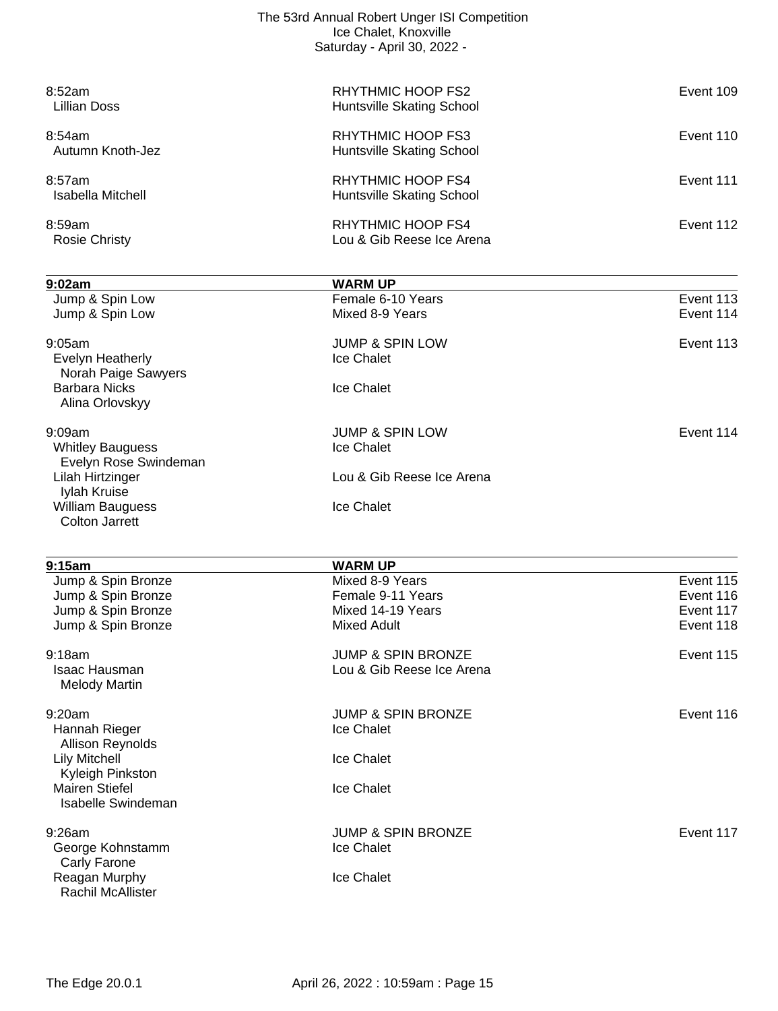| The 53rd Annual Robert Unger ISI Competition<br>Ice Chalet, Knoxville<br>Saturday - April 30, 2022 - |                                                       |           |  |
|------------------------------------------------------------------------------------------------------|-------------------------------------------------------|-----------|--|
| 8:52am<br>Lillian Doss                                                                               | RHYTHMIC HOOP FS2<br>Huntsville Skating School        | Event 109 |  |
| 8:54am<br>Autumn Knoth-Jez                                                                           | RHYTHMIC HOOP FS3<br>Huntsville Skating School        | Event 110 |  |
| 8:57am<br>Isabella Mitchell                                                                          | RHYTHMIC HOOP FS4<br>Huntsville Skating School        | Event 111 |  |
| 8:59am<br>Rosie Christy                                                                              | <b>RHYTHMIC HOOP FS4</b><br>Lou & Gib Reese Ice Arena | Event 112 |  |
|                                                                                                      |                                                       |           |  |

| 9:02am                                             | <b>WARM UP</b>                |           |
|----------------------------------------------------|-------------------------------|-----------|
| Jump & Spin Low                                    | Female 6-10 Years             | Event 113 |
| Jump & Spin Low                                    | Mixed 8-9 Years               | Event 114 |
| 9:05am                                             | <b>JUMP &amp; SPIN LOW</b>    | Event 113 |
| Evelyn Heatherly<br>Norah Paige Sawyers            | Ice Chalet                    |           |
| <b>Barbara Nicks</b><br>Alina Orlovskyy            | Ice Chalet                    |           |
| $9:09$ am                                          | <b>JUMP &amp; SPIN LOW</b>    | Event 114 |
| <b>Whitley Bauguess</b><br>Evelyn Rose Swindeman   | Ice Chalet                    |           |
| Lilah Hirtzinger<br>Iylah Kruise                   | Lou & Gib Reese Ice Arena     |           |
| <b>William Bauguess</b><br><b>Colton Jarrett</b>   | Ice Chalet                    |           |
|                                                    |                               |           |
| 9:15am                                             | <b>WARM UP</b>                |           |
| Jump & Spin Bronze                                 | Mixed 8-9 Years               | Event 115 |
| Jump & Spin Bronze                                 | Female 9-11 Years             | Event 116 |
| Jump & Spin Bronze                                 | Mixed 14-19 Years             | Event 117 |
| Jump & Spin Bronze                                 | <b>Mixed Adult</b>            | Event 118 |
| 9:18am                                             | <b>JUMP &amp; SPIN BRONZE</b> | Event 115 |
| Isaac Hausman<br><b>Melody Martin</b>              | Lou & Gib Reese Ice Arena     |           |
| 9:20am                                             | <b>JUMP &amp; SPIN BRONZE</b> | Event 116 |
| Hannah Rieger<br>Allison Reynolds                  | Ice Chalet                    |           |
| <b>Lily Mitchell</b><br>Kyleigh Pinkston           | <b>Ice Chalet</b>             |           |
| <b>Mairen Stiefel</b><br><b>Isabelle Swindeman</b> | <b>Ice Chalet</b>             |           |
| 9:26am                                             | JUMP & SPIN BRONZE            | Event 117 |
| George Kohnstamm<br>Carly Farone                   | Ice Chalet                    |           |
| Reagan Murphy<br><b>Rachil McAllister</b>          | Ice Chalet                    |           |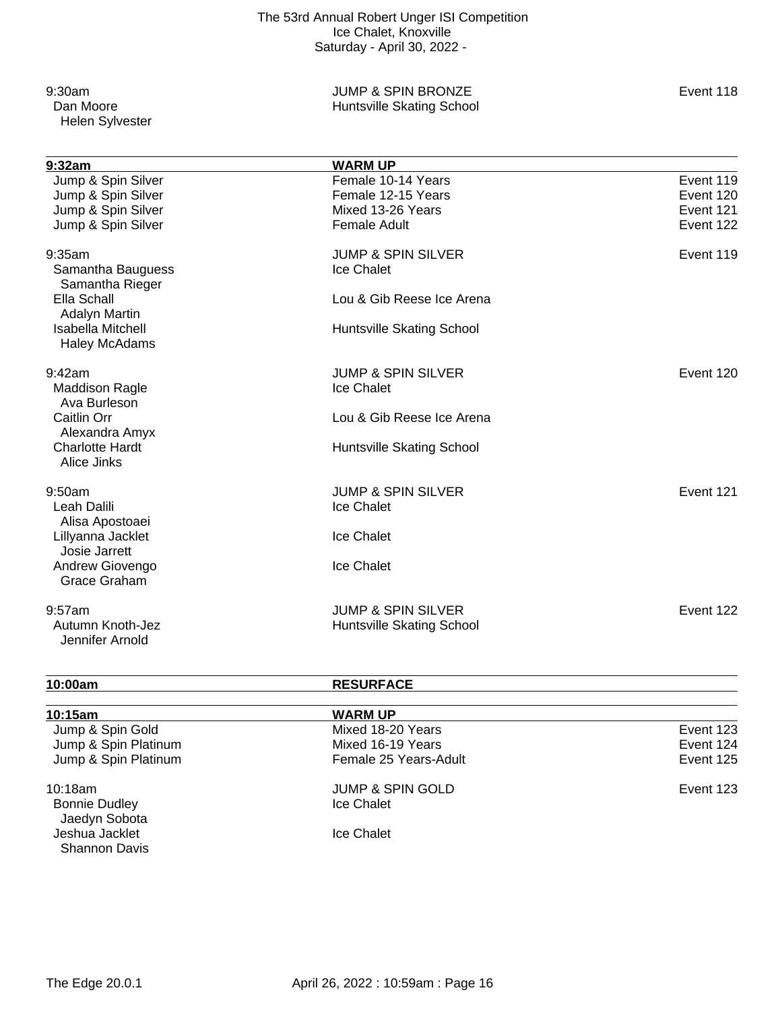Helen Sylvester

### 9:30am JUMP & SPIN BRONZE Event 118 Huntsville Skating School

| 9:32am                                           | <b>WARM UP</b>                |           |
|--------------------------------------------------|-------------------------------|-----------|
| Jump & Spin Silver                               | Female 10-14 Years            | Event 119 |
| Jump & Spin Silver                               | Female 12-15 Years            | Event 120 |
| Jump & Spin Silver                               | Mixed 13-26 Years             | Event 121 |
| Jump & Spin Silver                               | <b>Female Adult</b>           | Event 122 |
| 9:35am                                           | <b>JUMP &amp; SPIN SILVER</b> | Event 119 |
| Samantha Bauguess<br>Samantha Rieger             | Ice Chalet                    |           |
| Ella Schall<br><b>Adalyn Martin</b>              | Lou & Gib Reese Ice Arena     |           |
| <b>Isabella Mitchell</b><br><b>Haley McAdams</b> | Huntsville Skating School     |           |
| 9:42am                                           | <b>JUMP &amp; SPIN SILVER</b> | Event 120 |
| <b>Maddison Ragle</b><br>Ava Burleson            | Ice Chalet                    |           |
| <b>Caitlin Orr</b><br>Alexandra Amyx             | Lou & Gib Reese Ice Arena     |           |
| <b>Charlotte Hardt</b><br>Alice Jinks            | Huntsville Skating School     |           |
| 9:50am                                           | <b>JUMP &amp; SPIN SILVER</b> | Event 121 |
| Leah Dalili<br>Alisa Apostoaei                   | Ice Chalet                    |           |
| Lillyanna Jacklet<br>Josie Jarrett               | Ice Chalet                    |           |
| Andrew Giovengo<br>Grace Graham                  | Ice Chalet                    |           |
| $9:57$ am                                        | <b>JUMP &amp; SPIN SILVER</b> | Event 122 |
| Autumn Knoth-Jez<br>Jennifer Arnold              | Huntsville Skating School     |           |

# **10:00am RESURFACE**

# **10:15am WARM UP** Mixed 18-20 Years **Event 123**  Jump & Spin Platinum Mixed 16-19 Years Event 124 Jump & Spin Platinum 10:18am JUMP & SPIN GOLD Event 123 Bonnie Dudley Jaedyn Sobota Jeshua Jacklet **International Community** Ice Chalet Shannon Davis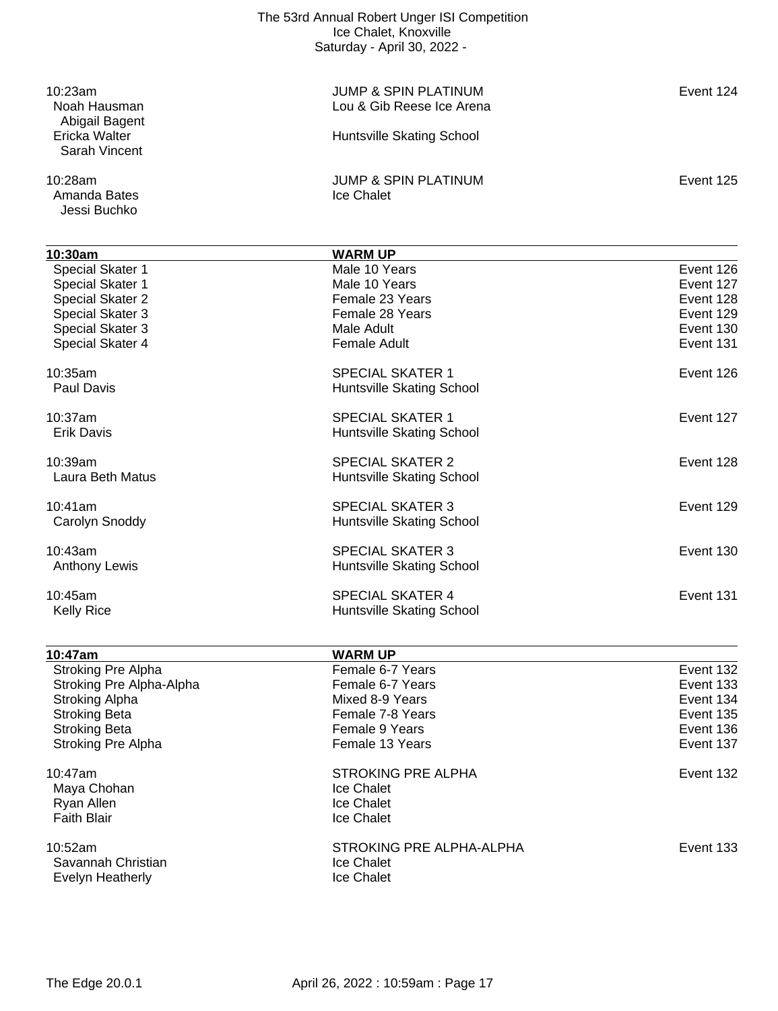| 10:23am<br>Noah Hausman                          | <b>JUMP &amp; SPIN PLATINUM</b><br>Lou & Gib Reese Ice Arena | Event 124 |
|--------------------------------------------------|--------------------------------------------------------------|-----------|
| Abigail Bagent<br>Ericka Walter<br>Sarah Vincent | Huntsville Skating School                                    |           |
| 10:28am                                          | <b>JUMP &amp; SPIN PLATINUM</b>                              | Event 125 |
| Amanda Bates<br>Jessi Buchko                     | Ice Chalet                                                   |           |
| 10:30am                                          | <b>WARM UP</b>                                               |           |
| Special Skater 1                                 | Male 10 Years                                                | Event 126 |
| Special Skater 1                                 | Male 10 Years                                                | Event 127 |
| Special Skater 2                                 | Female 23 Years                                              | Event 128 |
| Special Skater 3                                 | Female 28 Years                                              | Event 129 |
| Special Skater 3                                 | Male Adult                                                   | Event 130 |
| Special Skater 4                                 | <b>Female Adult</b>                                          | Event 131 |
| 10:35am                                          | <b>SPECIAL SKATER 1</b>                                      | Event 126 |
| <b>Paul Davis</b>                                | Huntsville Skating School                                    |           |
| 10:37am                                          | <b>SPECIAL SKATER 1</b>                                      | Event 127 |
| <b>Erik Davis</b>                                | Huntsville Skating School                                    |           |
| 10:39am                                          | <b>SPECIAL SKATER 2</b>                                      | Event 128 |
| Laura Beth Matus                                 | Huntsville Skating School                                    |           |
| 10:41am                                          | <b>SPECIAL SKATER 3</b>                                      | Event 129 |
| Carolyn Snoddy                                   | Huntsville Skating School                                    |           |
| 10:43am                                          | <b>SPECIAL SKATER 3</b>                                      | Event 130 |
| <b>Anthony Lewis</b>                             | Huntsville Skating School                                    |           |
| 10:45am                                          | <b>SPECIAL SKATER 4</b>                                      | Event 131 |
| <b>Kelly Rice</b>                                | Huntsville Skating School                                    |           |
|                                                  |                                                              |           |
| <u>10:47am</u><br>Stroking Pre Alpha             | <b>WARM UP</b><br>Female 6-7 Years                           | Event 132 |
| Stroking Pre Alpha-Alpha                         | Female 6-7 Years                                             | Event 133 |
| Stroking Alpha                                   | Mixed 8-9 Years                                              | Event 134 |
| <b>Stroking Beta</b>                             | Female 7-8 Years                                             | Event 135 |
| <b>Stroking Beta</b>                             | Female 9 Years                                               | Event 136 |
| Stroking Pre Alpha                               | Female 13 Years                                              | Event 137 |
| 10:47am                                          | STROKING PRE ALPHA                                           | Event 132 |
|                                                  |                                                              |           |

Maya Chohan Ice Chalet<br>
Ryan Allen Ice Chalet Ryan Allen<br>
Faith Blair<br>
Faith Blair<br>
Ice Chalet Faith Blair

10:52am STROKING PRE ALPHA-ALPHA Event 133 Savannah Christian **International Chalet**<br>Ice Chalet Ice Chalet Evelyn Heatherly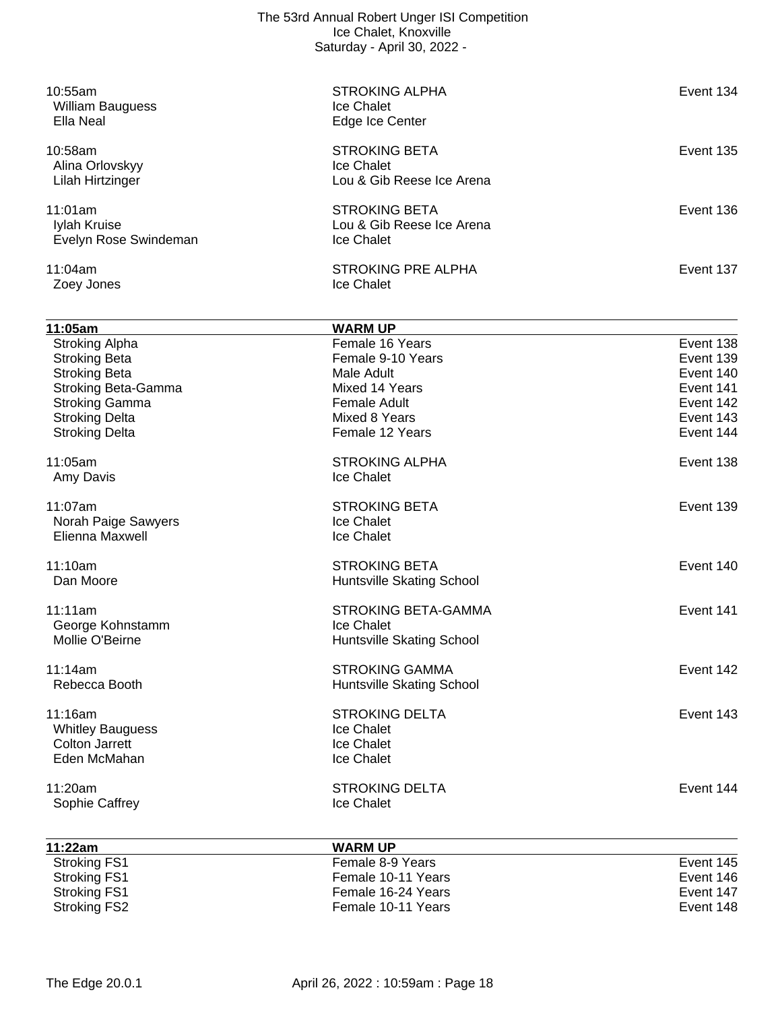| 10:55am<br><b>William Bauguess</b><br>Ella Neal                                                                                                                                | <b>STROKING ALPHA</b><br>Ice Chalet<br>Edge Ice Center                                                                          | Event 134                                                                               |
|--------------------------------------------------------------------------------------------------------------------------------------------------------------------------------|---------------------------------------------------------------------------------------------------------------------------------|-----------------------------------------------------------------------------------------|
| 10:58am<br>Alina Orlovskyy<br>Lilah Hirtzinger                                                                                                                                 | <b>STROKING BETA</b><br>Ice Chalet<br>Lou & Gib Reese Ice Arena                                                                 | <b>Event 135</b>                                                                        |
| 11:01am<br>Iylah Kruise<br>Evelyn Rose Swindeman                                                                                                                               | <b>STROKING BETA</b><br>Lou & Gib Reese Ice Arena<br>Ice Chalet                                                                 | Event 136                                                                               |
| 11:04am<br>Zoey Jones                                                                                                                                                          | <b>STROKING PRE ALPHA</b><br>Ice Chalet                                                                                         | Event 137                                                                               |
| 11:05am                                                                                                                                                                        | <b>WARM UP</b>                                                                                                                  |                                                                                         |
| <b>Stroking Alpha</b><br><b>Stroking Beta</b><br><b>Stroking Beta</b><br><b>Stroking Beta-Gamma</b><br><b>Stroking Gamma</b><br><b>Stroking Delta</b><br><b>Stroking Delta</b> | Female 16 Years<br>Female 9-10 Years<br>Male Adult<br>Mixed 14 Years<br><b>Female Adult</b><br>Mixed 8 Years<br>Female 12 Years | Event 138<br>Event 139<br>Event 140<br>Event 141<br>Event 142<br>Event 143<br>Event 144 |
| 11:05am<br>Amy Davis                                                                                                                                                           | <b>STROKING ALPHA</b><br>Ice Chalet                                                                                             | Event 138                                                                               |
| 11:07am<br>Norah Paige Sawyers<br>Elienna Maxwell                                                                                                                              | <b>STROKING BETA</b><br>Ice Chalet<br>Ice Chalet                                                                                | Event 139                                                                               |
| 11:10am<br>Dan Moore                                                                                                                                                           | <b>STROKING BETA</b><br>Huntsville Skating School                                                                               | Event 140                                                                               |
| 11:11am<br>George Kohnstamm<br>Mollie O'Beirne                                                                                                                                 | STROKING BETA-GAMMA<br>Ice Chalet<br>Huntsville Skating School                                                                  | Event 141                                                                               |
| 11:14am<br>Rebecca Booth                                                                                                                                                       | <b>STROKING GAMMA</b><br>Huntsville Skating School                                                                              | Event 142                                                                               |
| 11:16am<br><b>Whitley Bauguess</b><br><b>Colton Jarrett</b><br>Eden McMahan                                                                                                    | <b>STROKING DELTA</b><br><b>Ice Chalet</b><br><b>Ice Chalet</b><br>Ice Chalet                                                   | Event 143                                                                               |
| 11:20am<br>Sophie Caffrey                                                                                                                                                      | <b>STROKING DELTA</b><br>Ice Chalet                                                                                             | Event 144                                                                               |
| 11:22am                                                                                                                                                                        | <b>WARM UP</b>                                                                                                                  |                                                                                         |
| <b>Stroking FS1</b><br><b>Stroking FS1</b><br><b>Stroking FS1</b><br><b>Stroking FS2</b>                                                                                       | Female 8-9 Years<br>Female 10-11 Years<br>Female 16-24 Years<br>Female 10-11 Years                                              | Event 145<br>Event 146<br>Event 147<br>Event 148                                        |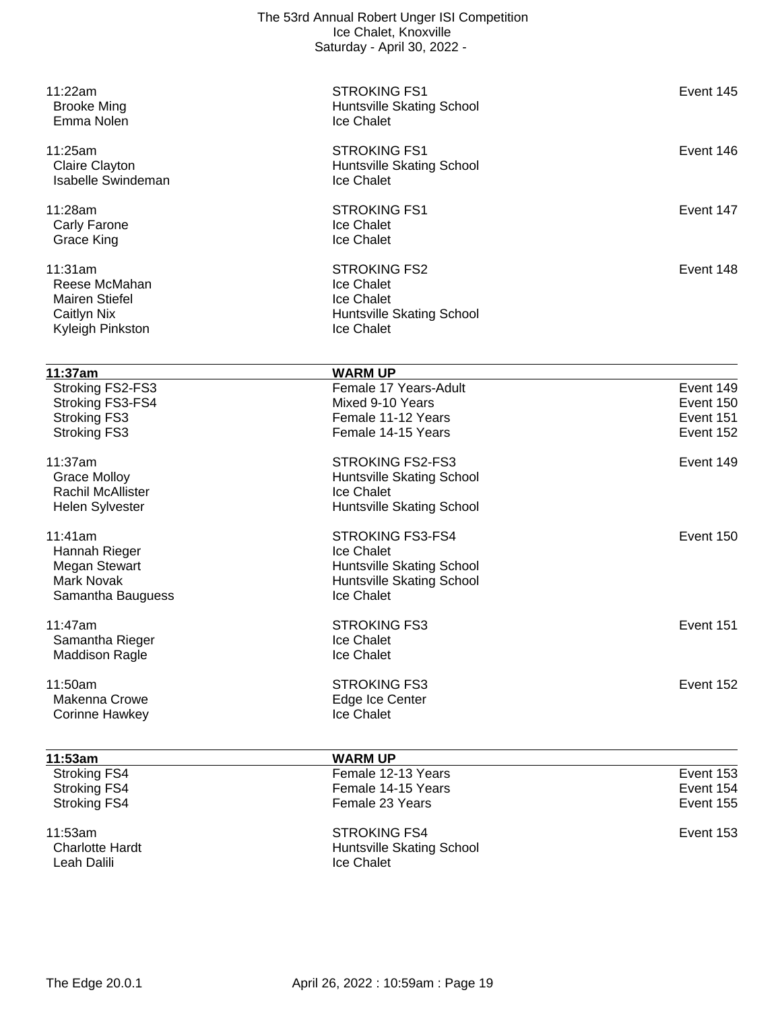| 11:22am<br><b>Brooke Ming</b>   | <b>STROKING FS1</b><br>Huntsville Skating School | Event 145 |
|---------------------------------|--------------------------------------------------|-----------|
| Emma Nolen                      | Ice Chalet                                       |           |
| 11:25am                         | <b>STROKING FS1</b>                              | Event 146 |
| <b>Claire Clayton</b>           | Huntsville Skating School                        |           |
| <b>Isabelle Swindeman</b>       | Ice Chalet                                       |           |
| 11:28am                         | <b>STROKING FS1</b>                              | Event 147 |
| Carly Farone                    | Ice Chalet                                       |           |
| <b>Grace King</b>               | Ice Chalet                                       |           |
| 11:31am                         | <b>STROKING FS2</b>                              | Event 148 |
| Reese McMahan                   | Ice Chalet                                       |           |
| <b>Mairen Stiefel</b>           | Ice Chalet                                       |           |
| Caitlyn Nix<br>Kyleigh Pinkston | Huntsville Skating School<br>Ice Chalet          |           |
|                                 |                                                  |           |
| 11:37am                         | <b>WARM UP</b>                                   |           |
| Stroking FS2-FS3                | Female 17 Years-Adult                            | Event 149 |
| Stroking FS3-FS4                | Mixed 9-10 Years                                 | Event 150 |
| <b>Stroking FS3</b>             | Female 11-12 Years                               | Event 151 |
| <b>Stroking FS3</b>             | Female 14-15 Years                               | Event 152 |
| 11:37am                         | <b>STROKING FS2-FS3</b>                          | Event 149 |
| <b>Grace Molloy</b>             | Huntsville Skating School                        |           |
| <b>Rachil McAllister</b>        | Ice Chalet                                       |           |
| Helen Sylvester                 | Huntsville Skating School                        |           |
| 11:41am                         | STROKING FS3-FS4                                 | Event 150 |
| Hannah Rieger                   | Ice Chalet                                       |           |
| <b>Megan Stewart</b>            | Huntsville Skating School                        |           |
| <b>Mark Novak</b>               | Huntsville Skating School                        |           |
| Samantha Bauguess               | Ice Chalet                                       |           |
| 11:47am                         | <b>STROKING FS3</b>                              | Event 151 |
| Samantha Rieger                 | Ice Chalet                                       |           |
| <b>Maddison Ragle</b>           | Ice Chalet                                       |           |
| 11:50am                         | <b>STROKING FS3</b>                              | Event 152 |
| Makenna Crowe                   | Edge Ice Center                                  |           |
| <b>Corinne Hawkey</b>           | Ice Chalet                                       |           |
| 11:53am                         | <b>WARM UP</b>                                   |           |
| <b>Stroking FS4</b>             | Female 12-13 Years                               | Event 153 |
| <b>Stroking FS4</b>             | Female 14-15 Years                               | Event 154 |
| <b>Stroking FS4</b>             | Female 23 Years                                  | Event 155 |
| 11:53am                         | <b>STROKING FS4</b>                              | Event 153 |
| <b>Charlotte Hardt</b>          | Huntsville Skating School                        |           |
| Leah Dalili                     | Ice Chalet                                       |           |
|                                 |                                                  |           |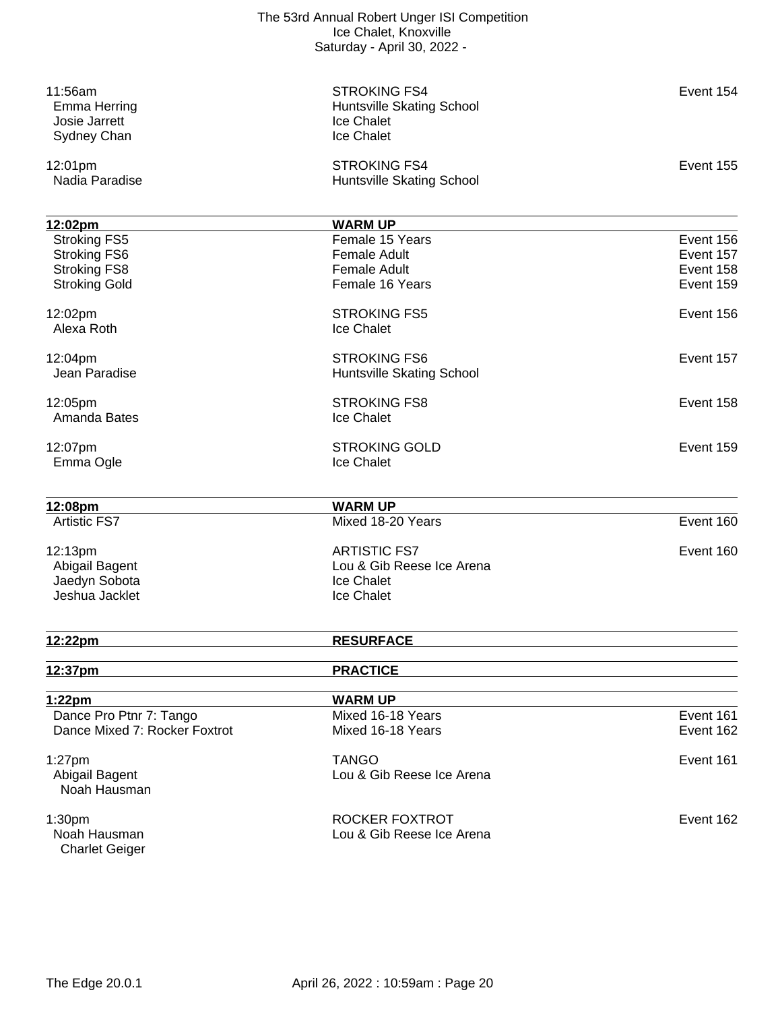| 12:02pm<br>Alexa Roth<br>12:04pm<br>Jean Paradise                            | <b>STROKING FS5</b><br>Ice Chalet<br><b>STROKING FS6</b><br>Huntsville Skating School<br><b>STROKING FS8</b> | Event 156<br>Event 157<br>Event 158 |
|------------------------------------------------------------------------------|--------------------------------------------------------------------------------------------------------------|-------------------------------------|
| 12:05pm<br>Amanda Bates<br>12:07pm<br>Emma Ogle                              | Ice Chalet<br><b>STROKING GOLD</b><br>Ice Chalet                                                             | Event 159                           |
| 12:08pm<br><b>Artistic FS7</b><br>12:13pm<br>Abigail Bagent<br>Jaedyn Sobota | <b>WARM UP</b><br>Mixed 18-20 Years<br><b>ARTISTIC FS7</b><br>Lou & Gib Reese Ice Arena<br>Ice Chalet        | Event 160<br>Event 160              |
| Jeshua Jacklet<br>12:22pm                                                    | Ice Chalet<br><b>RESURFACE</b>                                                                               |                                     |
| 12:37pm                                                                      | <b>PRACTICE</b>                                                                                              |                                     |
|                                                                              | <b>WARM UP</b>                                                                                               |                                     |
|                                                                              | Mixed 16-18 Years                                                                                            | Event 161                           |
| 1:22pm                                                                       |                                                                                                              | Event 162                           |
| Dance Pro Ptnr 7: Tango                                                      |                                                                                                              |                                     |
| Dance Mixed 7: Rocker Foxtrot                                                | Mixed 16-18 Years                                                                                            |                                     |
| $1:27$ pm<br>Abigail Bagent                                                  | <b>TANGO</b><br>Lou & Gib Reese Ice Arena                                                                    | Event 161                           |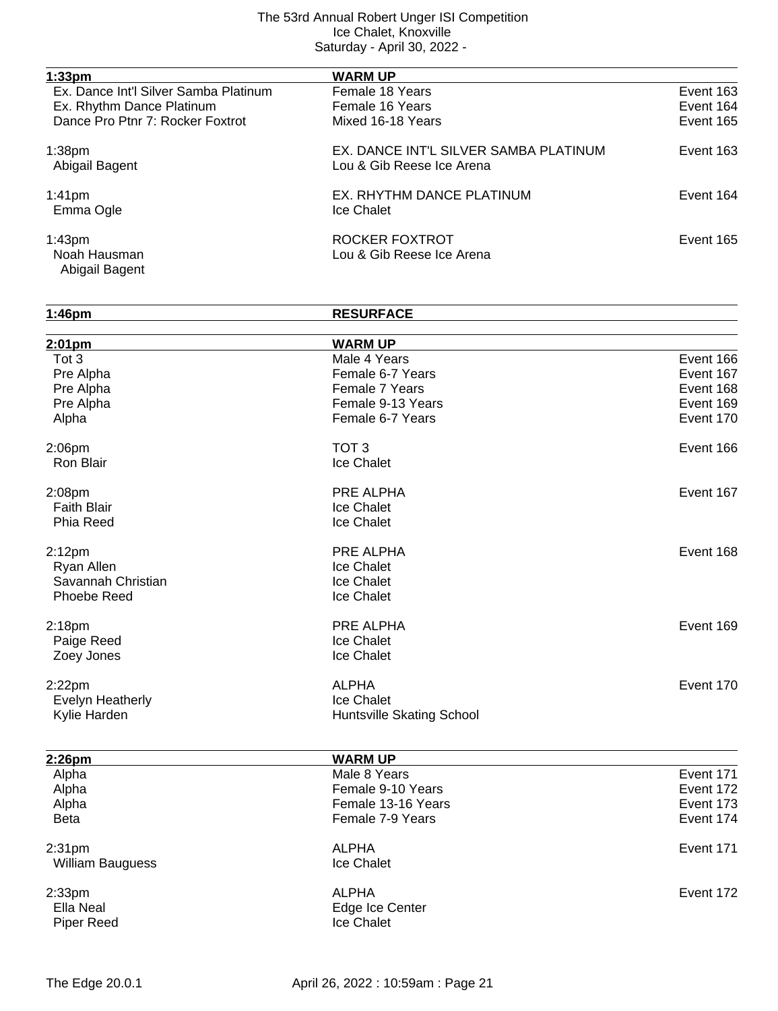| 1:33pm                                               | <b>WARM UP</b>                                                     |           |
|------------------------------------------------------|--------------------------------------------------------------------|-----------|
| Ex. Dance Int'l Silver Samba Platinum                | Female 18 Years                                                    | Event 163 |
| Ex. Rhythm Dance Platinum                            | Female 16 Years                                                    | Event 164 |
| Dance Pro Ptnr 7: Rocker Foxtrot                     | Mixed 16-18 Years                                                  | Event 165 |
| 1:38 <sub>pm</sub><br>Abigail Bagent                 | EX. DANCE INT'L SILVER SAMBA PLATINUM<br>Lou & Gib Reese Ice Arena | Event 163 |
| 1:41 <sub>pm</sub><br>Emma Ogle                      | EX. RHYTHM DANCE PLATINUM<br>Ice Chalet                            | Event 164 |
| 1:43 <sub>pm</sub><br>Noah Hausman<br>Abigail Bagent | ROCKER FOXTROT<br>Lou & Gib Reese Ice Arena                        | Event 165 |

| 1:46pm             | <b>RESURFACE</b>          |           |
|--------------------|---------------------------|-----------|
| $2:01$ pm          | <b>WARM UP</b>            |           |
| Tot 3              | Male 4 Years              | Event 166 |
| Pre Alpha          | Female 6-7 Years          | Event 167 |
| Pre Alpha          | Female 7 Years            | Event 168 |
| Pre Alpha          | Female 9-13 Years         | Event 169 |
| Alpha              | Female 6-7 Years          | Event 170 |
| 2:06pm             | TOT <sub>3</sub>          | Event 166 |
| Ron Blair          | Ice Chalet                |           |
| 2:08pm             | PRE ALPHA                 | Event 167 |
| <b>Faith Blair</b> | Ice Chalet                |           |
| Phia Reed          | Ice Chalet                |           |
| 2:12 <sub>pm</sub> | PRE ALPHA                 | Event 168 |
| Ryan Allen         | Ice Chalet                |           |
| Savannah Christian | Ice Chalet                |           |
| Phoebe Reed        | Ice Chalet                |           |
| 2:18pm             | PRE ALPHA                 | Event 169 |
| Paige Reed         | Ice Chalet                |           |
| Zoey Jones         | Ice Chalet                |           |
| $2:22$ pm          | <b>ALPHA</b>              | Event 170 |
| Evelyn Heatherly   | Ice Chalet                |           |
| Kylie Harden       | Huntsville Skating School |           |
|                    |                           |           |
| 2:26pm             | <b>WARM UP</b>            |           |
| Alpha              | Male 8 Years              | Event 171 |
| Alpha              | Female 9-10 Years         | Event 172 |
| Alpha              | Female 13-16 Years        | Event 173 |
| <b>Beta</b>        | Female 7-9 Years          | Event 174 |
| 2:31 <sub>pm</sub> | <b>ALPHA</b>              | Event 171 |
| William Bauguess   | Ice Chalet                |           |
| 2:33 <sub>pm</sub> | <b>ALPHA</b>              | Event 172 |
| Ella Neal          | Edge Ice Center           |           |
| <b>Piper Reed</b>  | Ice Chalet                |           |

Piper Reed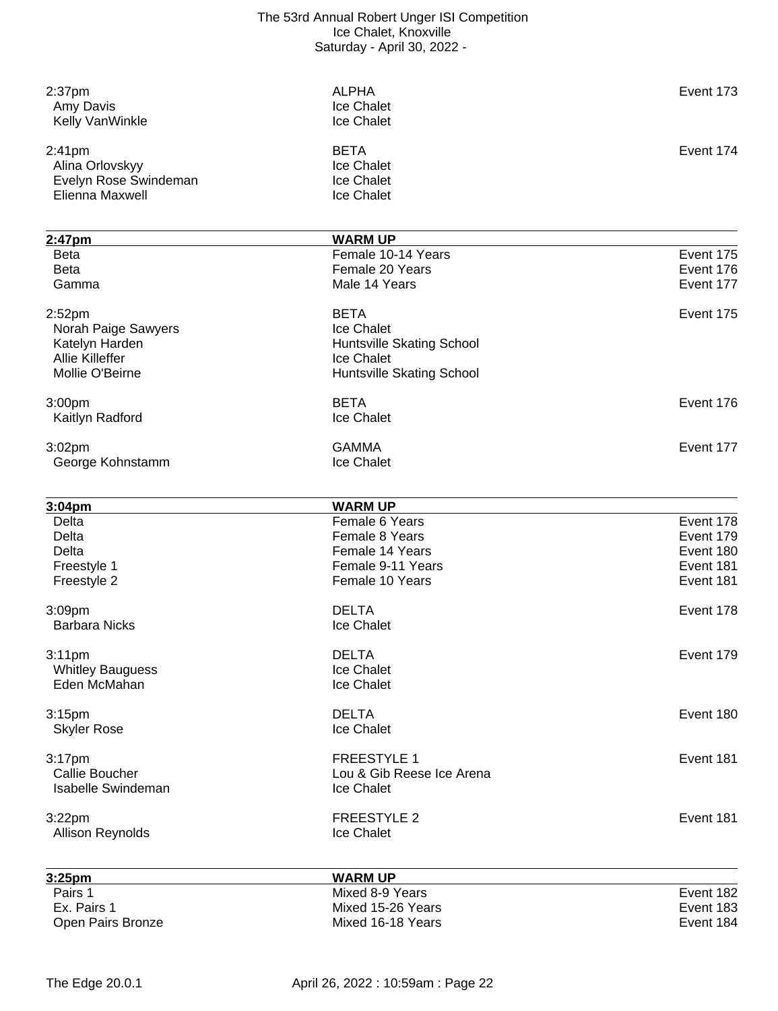| 2:37 <sub>pm</sub>                       | <b>ALPHA</b>                     | Event 173 |
|------------------------------------------|----------------------------------|-----------|
| Amy Davis                                | Ice Chalet                       |           |
| Kelly VanWinkle                          | Ice Chalet                       |           |
| 2:41pm                                   | <b>BETA</b>                      | Event 174 |
| Alina Orlovskyy                          | Ice Chalet                       |           |
| Evelyn Rose Swindeman                    | Ice Chalet                       |           |
| Elienna Maxwell                          | Ice Chalet                       |           |
|                                          |                                  |           |
| 2:47pm                                   | <b>WARM UP</b>                   |           |
| <b>Beta</b>                              | Female 10-14 Years               | Event 175 |
| <b>Beta</b>                              | Female 20 Years                  | Event 176 |
| Gamma                                    | Male 14 Years                    | Event 177 |
| 2:52 <sub>pm</sub>                       | <b>BETA</b>                      | Event 175 |
|                                          | Ice Chalet                       |           |
| Norah Paige Sawyers                      |                                  |           |
| Katelyn Harden<br><b>Allie Killeffer</b> | Huntsville Skating School        |           |
| Mollie O'Beirne                          | Ice Chalet                       |           |
|                                          | <b>Huntsville Skating School</b> |           |
| 3:00pm                                   | <b>BETA</b>                      | Event 176 |
| Kaitlyn Radford                          | Ice Chalet                       |           |
| 3:02pm                                   | <b>GAMMA</b>                     | Event 177 |
| George Kohnstamm                         | Ice Chalet                       |           |
|                                          |                                  |           |
| 3:04pm                                   | <b>WARM UP</b>                   |           |
| <b>Delta</b>                             | Female 6 Years                   | Event 178 |
| Delta                                    | Female 8 Years                   | Event 179 |
| <b>Delta</b>                             | Female 14 Years                  | Event 180 |
| Freestyle 1                              | Female 9-11 Years                | Event 181 |
| Freestyle 2                              | Female 10 Years                  | Event 181 |
| 3:09pm                                   | <b>DELTA</b>                     | Event 178 |
| <b>Barbara Nicks</b>                     | Ice Chalet                       |           |
| 3:11 <sub>pm</sub>                       | <b>DELTA</b>                     | Event 179 |
| <b>Whitley Bauguess</b>                  | Ice Chalet                       |           |
| Eden McMahan                             | Ice Chalet                       |           |
|                                          |                                  |           |
| 3:15pm                                   | <b>DELTA</b>                     | Event 180 |
| <b>Skyler Rose</b>                       | Ice Chalet                       |           |
| 3:17 <sub>pm</sub>                       | <b>FREESTYLE 1</b>               | Event 181 |
| <b>Callie Boucher</b>                    | Lou & Gib Reese Ice Arena        |           |
| <b>Isabelle Swindeman</b>                | Ice Chalet                       |           |
| 3:22pm                                   | <b>FREESTYLE 2</b>               | Event 181 |
| Allison Reynolds                         | Ice Chalet                       |           |
|                                          |                                  |           |
| 3:25pm                                   | <b>WARM UP</b>                   |           |
| Pairs 1                                  | Mixed 8-9 Years                  | Event 182 |
| Ex. Pairs 1                              | Mixed 15-26 Years                | Event 183 |
| Open Pairs Bronze                        | Mixed 16-18 Years                | Event 184 |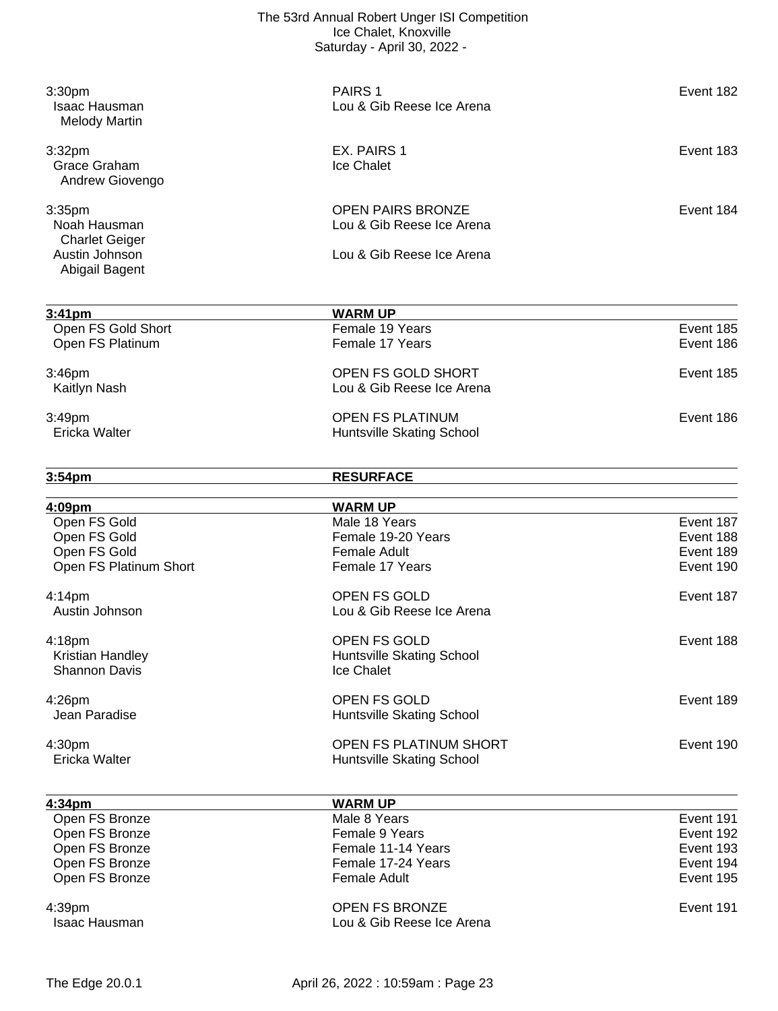| 3:30pm<br><b>Isaac Hausman</b><br><b>Melody Martin</b> | PAIRS <sub>1</sub><br>Lou & Gib Reese Ice Arena         | Event 182              |
|--------------------------------------------------------|---------------------------------------------------------|------------------------|
| 3:32pm<br>Grace Graham<br>Andrew Giovengo              | EX. PAIRS 1<br>Ice Chalet                               | Event 183              |
| 3:35pm<br>Noah Hausman<br><b>Charlet Geiger</b>        | <b>OPEN PAIRS BRONZE</b><br>Lou & Gib Reese Ice Arena   | Event 184              |
| Austin Johnson<br>Abigail Bagent                       | Lou & Gib Reese Ice Arena                               |                        |
| $3:41 \text{pm}$                                       | <b>WARM UP</b>                                          |                        |
| Open FS Gold Short<br>Open FS Platinum                 | Female 19 Years<br>Female 17 Years                      | Event 185<br>Event 186 |
| 3:46pm<br>Kaitlyn Nash                                 | OPEN FS GOLD SHORT<br>Lou & Gib Reese Ice Arena         | Event 185              |
| 3:49pm<br>Ericka Walter                                | <b>OPEN FS PLATINUM</b><br>Huntsville Skating School    | Event 186              |
| 3:54pm                                                 | <b>RESURFACE</b>                                        |                        |
| <u>4:09pm</u>                                          | <b>WARM UP</b>                                          |                        |
| Open FS Gold                                           | Male 18 Years                                           | Event 187              |
| Open FS Gold                                           | Female 19-20 Years                                      | Event 188              |
| Open FS Gold<br>Open FS Platinum Short                 | <b>Female Adult</b><br>Female 17 Years                  | Event 189<br>Event 190 |
| 4:14pm<br>Austin Johnson                               | OPEN FS GOLD<br>Lou & Gib Reese Ice Arena               | Event 187              |
| 4:18pm<br>Kristian Handley<br>Shannon Davis            | OPEN FS GOLD<br>Huntsville Skating School<br>Ice Chalet | Event 188              |
| 4:26pm<br>Jean Paradise                                | OPEN FS GOLD<br>Huntsville Skating School               | Event 189              |
| 4:30pm                                                 | OPEN FS PLATINUM SHORT                                  | Event 190              |

| Ericka Walter<br><b>Huntsville Skating School</b> |  |
|---------------------------------------------------|--|

| 4:34 <sub>pm</sub>      | <b>WARM UP</b>                                     |           |
|-------------------------|----------------------------------------------------|-----------|
| Open FS Bronze          | Male 8 Years                                       | Event 191 |
| Open FS Bronze          | Female 9 Years                                     | Event 192 |
| Open FS Bronze          | Female 11-14 Years                                 | Event 193 |
| Open FS Bronze          | Female 17-24 Years                                 | Event 194 |
| Open FS Bronze          | Female Adult                                       | Event 195 |
| 4:39pm<br>Isaac Hausman | <b>OPEN FS BRONZE</b><br>Lou & Gib Reese Ice Arena | Event 191 |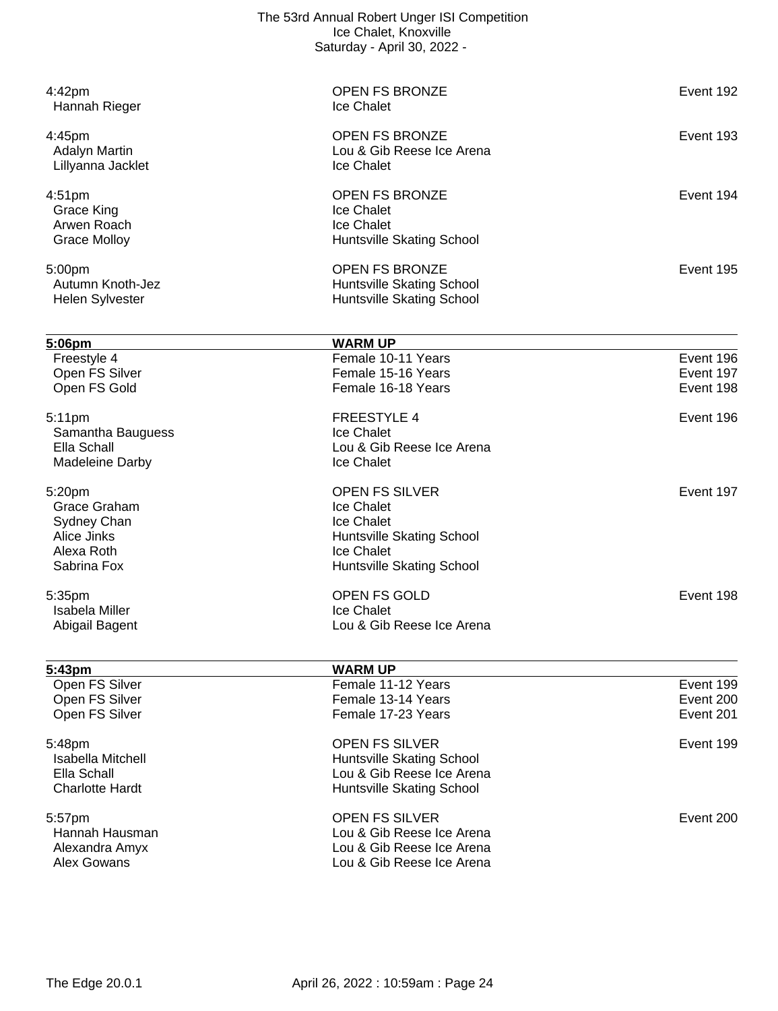| 4:42pm<br>Hannah Rieger                                                           | <b>OPEN FS BRONZE</b><br>Ice Chalet                                                                                       | Event 192 |
|-----------------------------------------------------------------------------------|---------------------------------------------------------------------------------------------------------------------------|-----------|
| 4:45pm<br><b>Adalyn Martin</b><br>Lillyanna Jacklet                               | <b>OPEN FS BRONZE</b><br>Lou & Gib Reese Ice Arena<br>Ice Chalet                                                          | Event 193 |
| 4:51 <sub>pm</sub><br><b>Grace King</b><br>Arwen Roach<br><b>Grace Molloy</b>     | <b>OPEN FS BRONZE</b><br>Ice Chalet<br>Ice Chalet<br>Huntsville Skating School                                            | Event 194 |
| 5:00pm<br>Autumn Knoth-Jez<br><b>Helen Sylvester</b>                              | <b>OPEN FS BRONZE</b><br>Huntsville Skating School<br>Huntsville Skating School                                           | Event 195 |
| 5:06pm                                                                            | <b>WARM UP</b>                                                                                                            |           |
| Freestyle 4                                                                       | Female 10-11 Years                                                                                                        | Event 196 |
| Open FS Silver                                                                    | Female 15-16 Years                                                                                                        | Event 197 |
| Open FS Gold                                                                      | Female 16-18 Years                                                                                                        | Event 198 |
| 5:11pm<br>Samantha Bauguess<br>Ella Schall<br><b>Madeleine Darby</b>              | <b>FREESTYLE 4</b><br>Ice Chalet<br>Lou & Gib Reese Ice Arena<br>Ice Chalet                                               | Event 196 |
| 5:20pm<br>Grace Graham<br>Sydney Chan<br>Alice Jinks<br>Alexa Roth<br>Sabrina Fox | <b>OPEN FS SILVER</b><br>Ice Chalet<br>Ice Chalet<br>Huntsville Skating School<br>Ice Chalet<br>Huntsville Skating School | Event 197 |
|                                                                                   | OPEN FS GOLD                                                                                                              | Event 198 |
| 5:35pm<br><b>Isabela Miller</b>                                                   | Ice Chalet                                                                                                                |           |
| Abigail Bagent                                                                    | Lou & Gib Reese Ice Arena                                                                                                 |           |
| 5:43pm                                                                            | <b>WARM UP</b>                                                                                                            |           |
| Open FS Silver                                                                    | Female 11-12 Years                                                                                                        | Event 199 |
| Open FS Silver                                                                    | Female 13-14 Years                                                                                                        | Event 200 |
| Open FS Silver                                                                    | Female 17-23 Years                                                                                                        | Event 201 |
| 5:48pm<br><b>Isabella Mitchell</b><br>Ella Schall<br><b>Charlotte Hardt</b>       | <b>OPEN FS SILVER</b><br>Huntsville Skating School<br>Lou & Gib Reese Ice Arena<br>Huntsville Skating School              | Event 199 |
| 5:57pm<br>Hannah Hausman<br>Alexandra Amyx<br>Alex Gowans                         | <b>OPEN FS SILVER</b><br>Lou & Gib Reese Ice Arena<br>Lou & Gib Reese Ice Arena<br>Lou & Gib Reese Ice Arena              | Event 200 |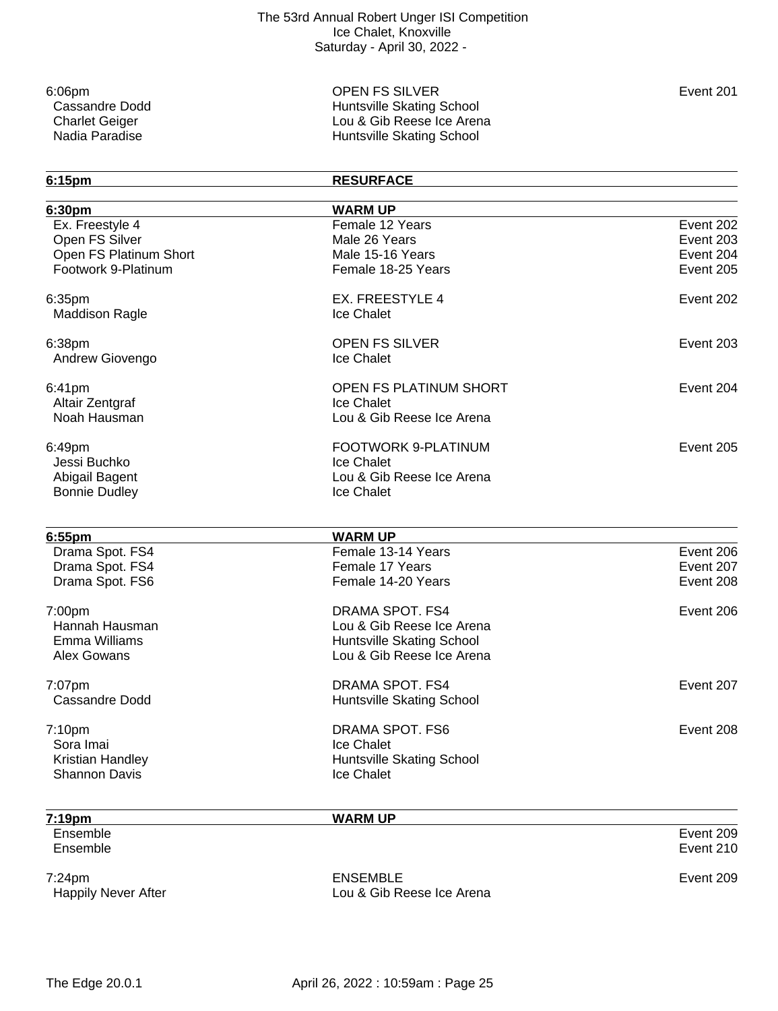6:06pm OPEN FS SILVER Event 201 Cassandre Dodd<br>
Charlet Geiger<br>
Charlet Geiger

Charlet Geiger

Charlet Skating School

Charlet Geiger

Charlet Skating School

Lou & Gib Reese Ice Aren Charlet Geiger **Lou & Gib Reese Ice Arena** Nadia Paradise **Munitipality Contract Contract Contract Contract Contract Contract Contract Contract Contract Contract Contract Contract Contract Contract Contract Contract Contract Contract Contract Contract Contract Cont** 

| 6:15pm                 | <b>RESURFACE</b>          |           |
|------------------------|---------------------------|-----------|
| 6:30pm                 | <b>WARM UP</b>            |           |
| Ex. Freestyle 4        | Female 12 Years           | Event 202 |
| Open FS Silver         | Male 26 Years             | Event 203 |
| Open FS Platinum Short | Male 15-16 Years          | Event 204 |
| Footwork 9-Platinum    | Female 18-25 Years        | Event 205 |
| 6:35pm                 | <b>EX. FREESTYLE 4</b>    | Event 202 |
| <b>Maddison Ragle</b>  | Ice Chalet                |           |
| 6:38pm                 | <b>OPEN FS SILVER</b>     | Event 203 |
| Andrew Giovengo        | Ice Chalet                |           |
| 6:41pm                 | OPEN FS PLATINUM SHORT    | Event 204 |
| Altair Zentgraf        | Ice Chalet                |           |
| Noah Hausman           | Lou & Gib Reese Ice Arena |           |
| 6:49pm                 | FOOTWORK 9-PLATINUM       | Event 205 |
| Jessi Buchko           | Ice Chalet                |           |
| Abigail Bagent         | Lou & Gib Reese Ice Arena |           |
| <b>Bonnie Dudley</b>   | Ice Chalet                |           |
| 6:55pm                 | <b>WARM UP</b>            |           |
| Drama Spot. FS4        | Female 13-14 Years        | Event 206 |
| Drama Spot. FS4        | Female 17 Years           | Event 207 |
|                        | Female 14-20 Years        | Event 208 |
| Drama Spot. FS6        |                           |           |
| 7:00pm                 | <b>DRAMA SPOT. FS4</b>    | Event 206 |
| Hannah Hausman         | Lou & Gib Reese Ice Arena |           |
| Emma Williams          | Huntsville Skating School |           |
| Alex Gowans            | Lou & Gib Reese Ice Arena |           |
| 7:07pm                 | <b>DRAMA SPOT, FS4</b>    | Event 207 |
| <b>Cassandre Dodd</b>  | Huntsville Skating School |           |
| 7:10 <sub>pm</sub>     | DRAMA SPOT. FS6           | Event 208 |
| Sora Imai              | Ice Chalet                |           |
| Kristian Handley       | Huntsville Skating School |           |
| <b>Shannon Davis</b>   | Ice Chalet                |           |
| 7:19pm                 | <b>WARM UP</b>            |           |
| Ensemble               |                           | Event 209 |
| Ensemble               |                           | Event 210 |
| 7:24pm                 | <b>ENSEMBLE</b>           | Event 209 |

Happily Never After **Lou & Gib Reese Ice Arena**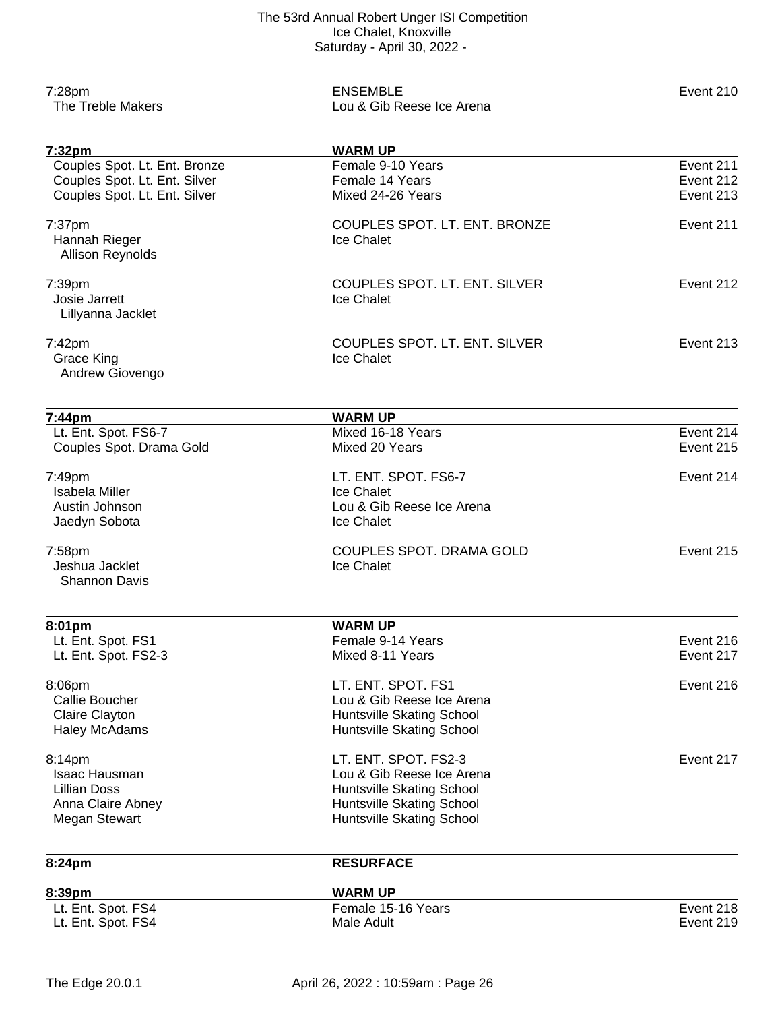| 7:28pm<br>The Treble Makers            | <b>ENSEMBLE</b><br>Lou & Gib Reese Ice Arena | Event 210 |
|----------------------------------------|----------------------------------------------|-----------|
| 7:32pm                                 | <b>WARM UP</b>                               |           |
| Couples Spot. Lt. Ent. Bronze          | Female 9-10 Years                            | Event 211 |
| Couples Spot. Lt. Ent. Silver          | Female 14 Years                              | Event 212 |
| Couples Spot. Lt. Ent. Silver          | Mixed 24-26 Years                            | Event 213 |
| 7:37pm<br>Hannah Rieger                | COUPLES SPOT. LT. ENT. BRONZE<br>Ice Chalet  | Event 211 |
| <b>Allison Reynolds</b>                |                                              |           |
| 7:39pm                                 | COUPLES SPOT. LT. ENT. SILVER                | Event 212 |
| Josie Jarrett                          | Ice Chalet                                   |           |
| Lillyanna Jacklet                      |                                              |           |
| 7:42pm                                 | COUPLES SPOT. LT. ENT. SILVER                | Event 213 |
| <b>Grace King</b><br>Andrew Giovengo   | Ice Chalet                                   |           |
|                                        |                                              |           |
| 7:44pm                                 | <b>WARM UP</b>                               |           |
| Lt. Ent. Spot. FS6-7                   | Mixed 16-18 Years                            | Event 214 |
| Couples Spot. Drama Gold               | Mixed 20 Years                               | Event 215 |
| 7:49pm                                 | LT. ENT. SPOT. FS6-7                         | Event 214 |
| <b>Isabela Miller</b>                  | Ice Chalet                                   |           |
| Austin Johnson                         | Lou & Gib Reese Ice Arena                    |           |
| Jaedyn Sobota                          | Ice Chalet                                   |           |
| 7:58pm                                 | COUPLES SPOT. DRAMA GOLD                     | Event 215 |
| Jeshua Jacklet<br><b>Shannon Davis</b> | Ice Chalet                                   |           |
|                                        |                                              |           |
| 8:01pm                                 | <b>WARM UP</b>                               |           |
| Lt. Ent. Spot. FS1                     | Female 9-14 Years                            | Event 216 |
| Lt. Ent. Spot. FS2-3                   | Mixed 8-11 Years                             | Event 217 |
| 8:06pm                                 | LT. ENT. SPOT. FS1                           | Event 216 |
| <b>Callie Boucher</b>                  | Lou & Gib Reese Ice Arena                    |           |
| Claire Clayton                         | Huntsville Skating School                    |           |
| <b>Haley McAdams</b>                   | Huntsville Skating School                    |           |
| 8:14pm                                 | LT. ENT. SPOT. FS2-3                         | Event 217 |
| <b>Isaac Hausman</b>                   | Lou & Gib Reese Ice Arena                    |           |
| <b>Lillian Doss</b>                    | Huntsville Skating School                    |           |
| Anna Claire Abney                      | Huntsville Skating School                    |           |
| <b>Megan Stewart</b>                   | Huntsville Skating School                    |           |
| 8:24pm                                 | <b>RESURFACE</b>                             |           |
| 8:39pm                                 | <b>WARM UP</b>                               |           |
| Lt. Ent. Spot. FS4                     | Female 15-16 Years                           | Event 218 |
| Lt. Ent. Spot. FS4                     | Male Adult                                   | Event 219 |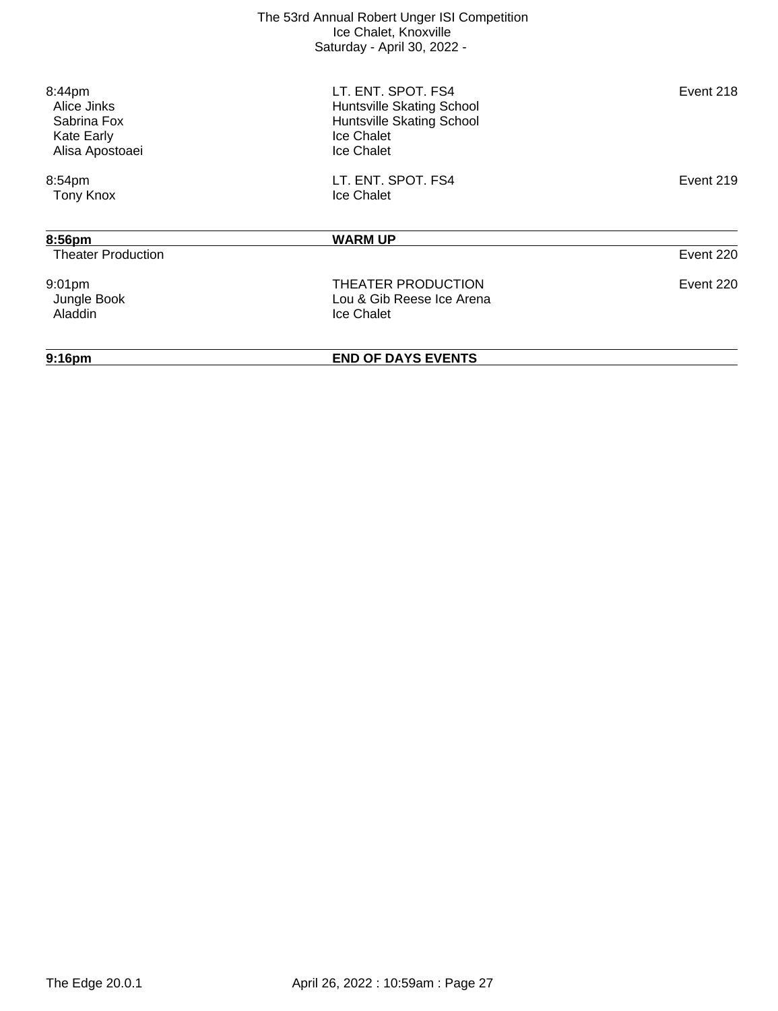| 9:16 <sub>pm</sub>                   | <b>END OF DAYS EVENTS</b>                              |           |
|--------------------------------------|--------------------------------------------------------|-----------|
|                                      |                                                        |           |
| Jungle Book<br><b>Aladdin</b>        | Lou & Gib Reese Ice Arena<br>Ice Chalet                |           |
| 9:01pm                               | THEATER PRODUCTION                                     | Event 220 |
| <b>Theater Production</b>            |                                                        | Event 220 |
| 8:56pm                               | <b>WARM UP</b>                                         |           |
| <b>Tony Knox</b>                     | Ice Chalet                                             |           |
| 8:54pm                               | LT. ENT. SPOT. FS4                                     | Event 219 |
| <b>Kate Early</b><br>Alisa Apostoaei | Ice Chalet<br>Ice Chalet                               |           |
| Alice Jinks<br>Sabrina Fox           | Huntsville Skating School<br>Huntsville Skating School |           |
| 8:44pm                               | LT. ENT. SPOT. FS4                                     | Event 218 |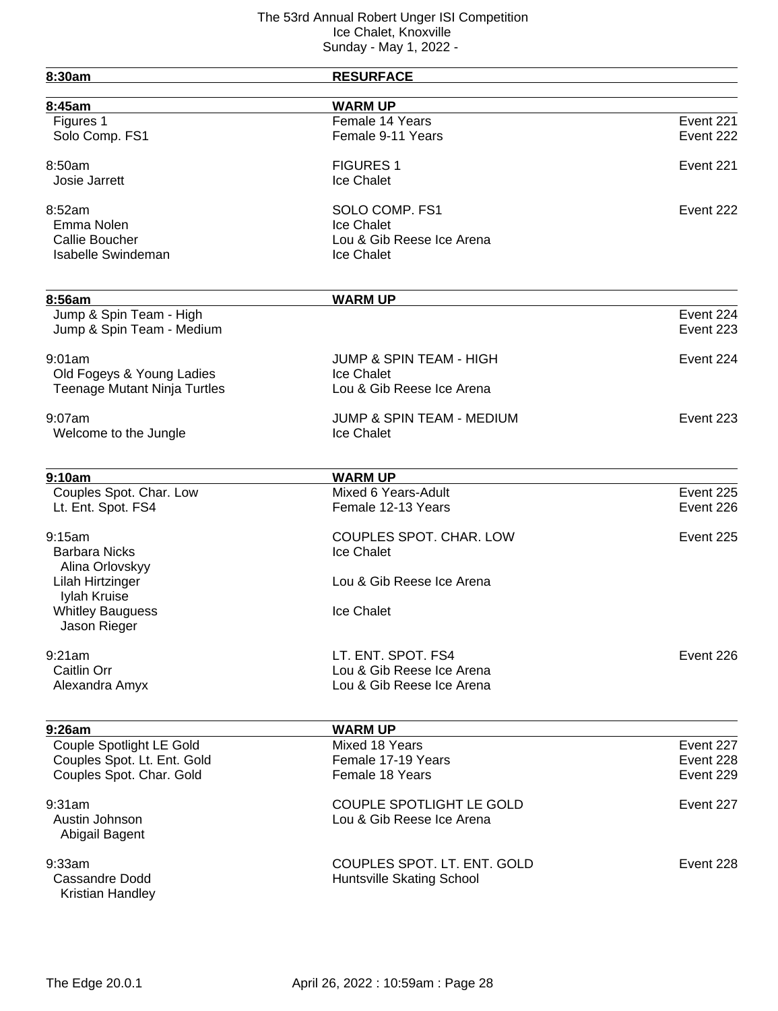| 8:30am                                               | <b>RESURFACE</b>                   |           |
|------------------------------------------------------|------------------------------------|-----------|
| 8:45am                                               | <b>WARM UP</b>                     |           |
| Figures 1                                            | Female 14 Years                    | Event 221 |
| Solo Comp. FS1                                       | Female 9-11 Years                  | Event 222 |
| 8:50am                                               | <b>FIGURES 1</b>                   | Event 221 |
| Josie Jarrett                                        | Ice Chalet                         |           |
| 8:52am                                               | SOLO COMP. FS1                     | Event 222 |
| Emma Nolen                                           | Ice Chalet                         |           |
| <b>Callie Boucher</b>                                | Lou & Gib Reese Ice Arena          |           |
| <b>Isabelle Swindeman</b>                            | Ice Chalet                         |           |
|                                                      |                                    |           |
| 8:56am                                               | <b>WARM UP</b>                     | Event 224 |
| Jump & Spin Team - High<br>Jump & Spin Team - Medium |                                    | Event 223 |
| 9:01am                                               | <b>JUMP &amp; SPIN TEAM - HIGH</b> | Event 224 |
| Old Fogeys & Young Ladies                            | Ice Chalet                         |           |
| <b>Teenage Mutant Ninja Turtles</b>                  | Lou & Gib Reese Ice Arena          |           |
| $9:07$ am                                            | JUMP & SPIN TEAM - MEDIUM          | Event 223 |
| Welcome to the Jungle                                | Ice Chalet                         |           |
| 9:10am                                               | <b>WARM UP</b>                     |           |
| Couples Spot. Char. Low                              | Mixed 6 Years-Adult                | Event 225 |
| Lt. Ent. Spot. FS4                                   | Female 12-13 Years                 | Event 226 |
| 9:15am                                               | <b>COUPLES SPOT. CHAR. LOW</b>     | Event 225 |
| <b>Barbara Nicks</b>                                 | Ice Chalet                         |           |
| Alina Orlovskyy                                      |                                    |           |
| Lilah Hirtzinger                                     | Lou & Gib Reese Ice Arena          |           |
| Iylah Kruise                                         |                                    |           |
| <b>Whitley Bauguess</b><br>Jason Rieger              | Ice Chalet                         |           |
| 9:21am                                               | LT. ENT. SPOT. FS4                 | Event 226 |
| Caitlin Orr                                          | Lou & Gib Reese Ice Arena          |           |
| Alexandra Amyx                                       | Lou & Gib Reese Ice Arena          |           |
|                                                      |                                    |           |
| 9:26am                                               | <b>WARM UP</b>                     |           |
| Couple Spotlight LE Gold                             | Mixed 18 Years                     | Event 227 |
| Couples Spot. Lt. Ent. Gold                          | Female 17-19 Years                 | Event 228 |
| Couples Spot. Char. Gold                             | Female 18 Years                    | Event 229 |
| 9:31am                                               | COUPLE SPOTLIGHT LE GOLD           | Event 227 |
| Austin Johnson                                       | Lou & Gib Reese Ice Arena          |           |
| Abigail Bagent                                       |                                    |           |
| 9:33am                                               | COUPLES SPOT. LT. ENT. GOLD        | Event 228 |
| Cassandre Dodd                                       | Huntsville Skating School          |           |
| Kristian Handley                                     |                                    |           |
|                                                      |                                    |           |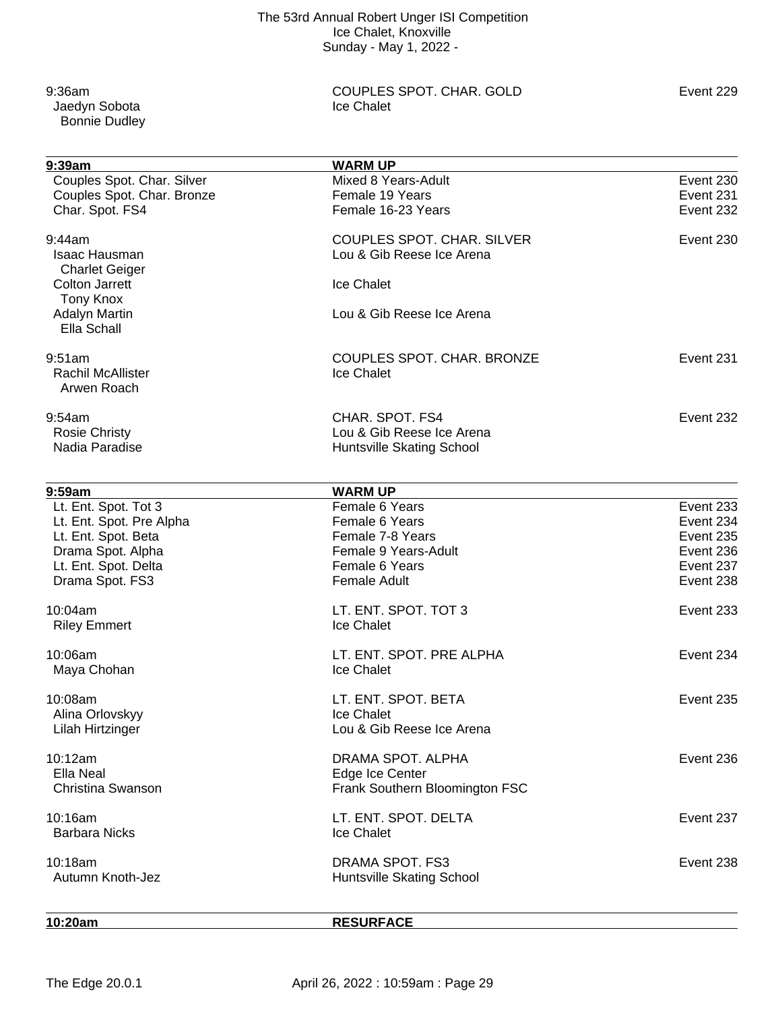Jaedyn Sobota Bonnie Dudley

9:36am COUPLES SPOT. CHAR. GOLD Event 229<br>
Under the Chalet Couples Spot Chalet

| 9:39am                     | <b>WARM UP</b>                   |           |
|----------------------------|----------------------------------|-----------|
| Couples Spot. Char. Silver | Mixed 8 Years-Adult              | Event 230 |
| Couples Spot. Char. Bronze | Female 19 Years                  | Event 231 |
| Char. Spot. FS4            | Female 16-23 Years               | Event 232 |
| 9:44am                     | COUPLES SPOT. CHAR. SILVER       | Event 230 |
| <b>Isaac Hausman</b>       | Lou & Gib Reese Ice Arena        |           |
| <b>Charlet Geiger</b>      |                                  |           |
| <b>Colton Jarrett</b>      | Ice Chalet                       |           |
| <b>Tony Knox</b>           |                                  |           |
| <b>Adalyn Martin</b>       | Lou & Gib Reese Ice Arena        |           |
| Ella Schall                |                                  |           |
| 9:51am                     | COUPLES SPOT. CHAR. BRONZE       | Event 231 |
| <b>Rachil McAllister</b>   | Ice Chalet                       |           |
| Arwen Roach                |                                  |           |
| 9:54am                     | CHAR. SPOT. FS4                  | Event 232 |
| <b>Rosie Christy</b>       | Lou & Gib Reese Ice Arena        |           |
| Nadia Paradise             | <b>Huntsville Skating School</b> |           |
|                            |                                  |           |
| 9:59am                     | <b>WARM UP</b>                   |           |
| Lt. Ent. Spot. Tot 3       | Female 6 Years                   | Event 233 |
| Lt. Ent. Spot. Pre Alpha   | Female 6 Years                   | Event 234 |
| Lt. Ent. Spot. Beta        | Female 7-8 Years                 | Event 235 |
| Drama Spot. Alpha          | Female 9 Years-Adult             | Event 236 |
| Lt. Ent. Spot. Delta       | Female 6 Years                   | Event 237 |
| Drama Spot. FS3            | <b>Female Adult</b>              | Event 238 |
| 10:04am                    | LT. ENT. SPOT. TOT 3             | Event 233 |
| <b>Riley Emmert</b>        | Ice Chalet                       |           |
| 10:06am                    | LT. ENT. SPOT. PRE ALPHA         | Event 234 |
| Maya Chohan                | Ice Chalet                       |           |
| 10:08am                    | LT. ENT. SPOT. BETA              | Event 235 |
| Alina Orlovskyy            | Ice Chalet                       |           |
| Lilah Hirtzinger           | Lou & Gib Reese Ice Arena        |           |
| 10:12am                    | DRAMA SPOT. ALPHA                | Event 236 |
| Ella Neal                  | Edge Ice Center                  |           |
| Christina Swanson          | Frank Southern Bloomington FSC   |           |
| 10:16am                    | LT. ENT. SPOT. DELTA             | Event 237 |
| <b>Barbara Nicks</b>       | Ice Chalet                       |           |
| 10:18am                    | DRAMA SPOT. FS3                  | Event 238 |
| Autumn Knoth-Jez           | Huntsville Skating School        |           |
|                            |                                  |           |

**10:20am RESURFACE**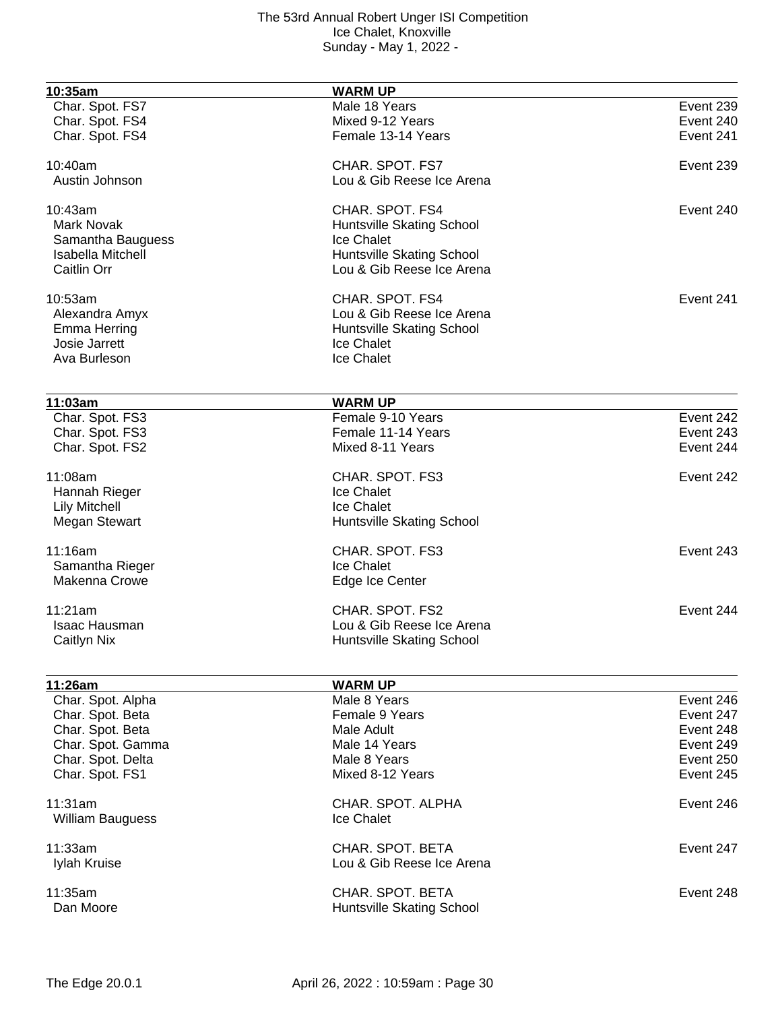| 10:35am                  | <b>WARM UP</b>            |           |
|--------------------------|---------------------------|-----------|
| Char. Spot. FS7          | Male 18 Years             | Event 239 |
| Char. Spot. FS4          | Mixed 9-12 Years          | Event 240 |
| Char. Spot. FS4          | Female 13-14 Years        | Event 241 |
| 10:40am                  | CHAR. SPOT. FS7           | Event 239 |
| Austin Johnson           | Lou & Gib Reese Ice Arena |           |
| 10:43am                  | CHAR. SPOT. FS4           | Event 240 |
| <b>Mark Novak</b>        | Huntsville Skating School |           |
| Samantha Bauguess        | Ice Chalet                |           |
| <b>Isabella Mitchell</b> | Huntsville Skating School |           |
| Caitlin Orr              | Lou & Gib Reese Ice Arena |           |
| 10:53am                  | CHAR. SPOT. FS4           | Event 241 |
| Alexandra Amyx           | Lou & Gib Reese Ice Arena |           |
| <b>Emma Herring</b>      | Huntsville Skating School |           |
| Josie Jarrett            | Ice Chalet                |           |
| Ava Burleson             | Ice Chalet                |           |
| 11:03am                  | <b>WARM UP</b>            |           |
| Char. Spot. FS3          | Female 9-10 Years         | Event 242 |
| Char. Spot. FS3          | Female 11-14 Years        | Event 243 |
| Char. Spot. FS2          | Mixed 8-11 Years          | Event 244 |
|                          |                           |           |
| 11:08am                  | CHAR. SPOT. FS3           | Event 242 |
| Hannah Rieger            | <b>Ice Chalet</b>         |           |
| <b>Lily Mitchell</b>     | Ice Chalet                |           |
| <b>Megan Stewart</b>     | Huntsville Skating School |           |
| 11:16am                  | CHAR. SPOT. FS3           | Event 243 |
| Samantha Rieger          | Ice Chalet                |           |
| <b>Makenna Crowe</b>     | Edge Ice Center           |           |
| 11:21am                  | CHAR. SPOT. FS2           | Event 244 |
| Isaac Hausman            | Lou & Gib Reese Ice Arena |           |
| Caitlyn Nix              | Huntsville Skating School |           |
| 11:26am                  | <b>WARM UP</b>            |           |
| Char. Spot. Alpha        | Male 8 Years              | Event 246 |
| Char. Spot. Beta         | Female 9 Years            | Event 247 |
| Char. Spot. Beta         | Male Adult                | Event 248 |
| Char. Spot. Gamma        | Male 14 Years             | Event 249 |
| Char. Spot. Delta        | Male 8 Years              | Event 250 |
| Char. Spot. FS1          | Mixed 8-12 Years          | Event 245 |
| 11:31am                  | CHAR, SPOT, ALPHA         | Event 246 |
| <b>William Bauguess</b>  | Ice Chalet                |           |
| 11:33am                  | CHAR. SPOT. BETA          | Event 247 |
| Iylah Kruise             | Lou & Gib Reese Ice Arena |           |
|                          |                           |           |
| 11:35am                  | CHAR. SPOT. BETA          | Event 248 |
| Dan Moore                | Huntsville Skating School |           |
|                          |                           |           |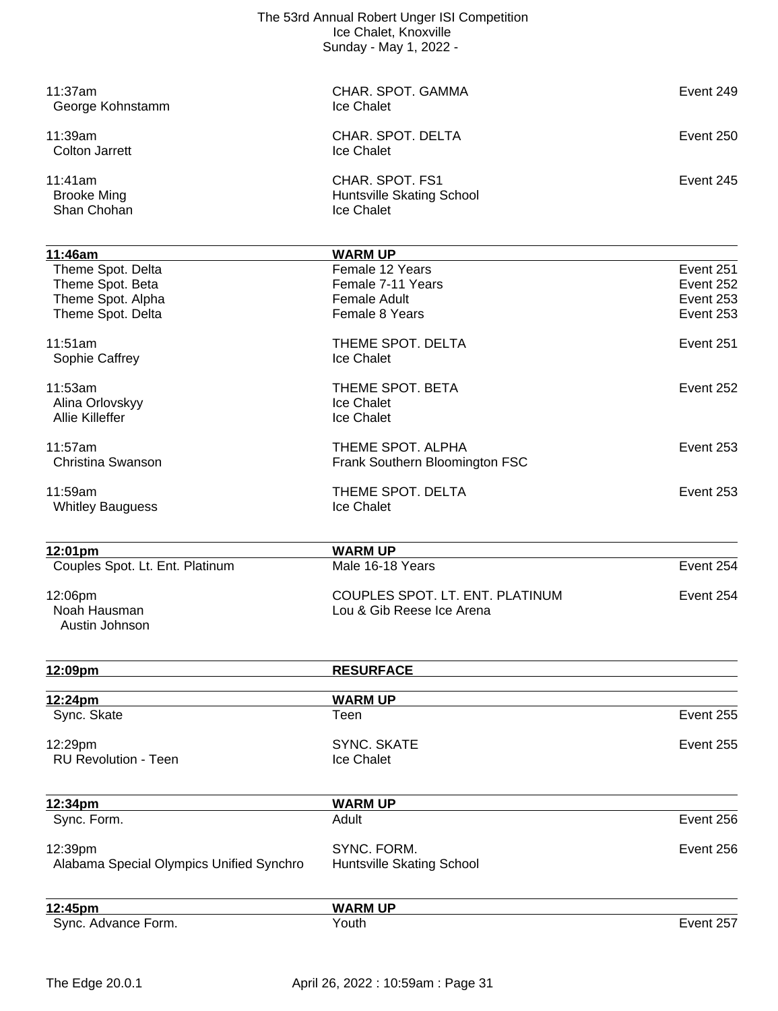| 11:37am<br>George Kohnstamm                  | CHAR, SPOT, GAMMA<br>Ice Chalet                            | Event 249 |
|----------------------------------------------|------------------------------------------------------------|-----------|
| 11:39am<br><b>Colton Jarrett</b>             | CHAR. SPOT. DELTA<br>Ice Chalet                            | Event 250 |
| 11:41am<br><b>Brooke Ming</b><br>Shan Chohan | CHAR. SPOT. FS1<br>Huntsville Skating School<br>Ice Chalet | Event 245 |
| 11:46am                                      | <b>WARM UP</b>                                             |           |
| Theme Spot. Delta                            | Female 12 Years                                            | Event 251 |
| Theme Spot. Beta                             | Female 7-11 Years                                          | Event 252 |
| Theme Spot. Alpha                            | <b>Female Adult</b>                                        | Event 253 |
| Theme Spot. Delta                            | Female 8 Years                                             | Event 253 |
| 11:51am                                      | THEME SPOT. DELTA                                          | Event 251 |
| Sophie Caffrey                               | Ice Chalet                                                 |           |
| 11:53am                                      | THEME SPOT. BETA                                           | Event 252 |
| Alina Orlovskyy                              | Ice Chalet                                                 |           |
| <b>Allie Killeffer</b>                       | Ice Chalet                                                 |           |
|                                              |                                                            |           |
| 11:57am                                      | THEME SPOT. ALPHA                                          | Event 253 |
| Christina Swanson                            | Frank Southern Bloomington FSC                             |           |
| 11:59am                                      | THEME SPOT. DELTA                                          | Event 253 |
| <b>Whitley Bauguess</b>                      | Ice Chalet                                                 |           |
|                                              |                                                            |           |
| 12:01pm                                      | <b>WARM UP</b>                                             |           |
| Couples Spot. Lt. Ent. Platinum              | Male 16-18 Years                                           | Event 254 |
|                                              |                                                            |           |
| 12:06pm                                      | COUPLES SPOT. LT. ENT. PLATINUM                            | Event 254 |
| Noah Hausman                                 | Lou & Gib Reese Ice Arena                                  |           |
| Austin Johnson                               |                                                            |           |
|                                              |                                                            |           |
| 12:09pm                                      | <b>RESURFACE</b>                                           |           |
| 12:24pm                                      | <b>WARM UP</b>                                             |           |
| Sync. Skate                                  | Teen                                                       | Event 255 |
| 12:29pm                                      | <b>SYNC, SKATE</b>                                         | Event 255 |
| <b>RU Revolution - Teen</b>                  | Ice Chalet                                                 |           |
|                                              |                                                            |           |
| 12:34pm                                      | <b>WARM UP</b>                                             |           |
| Sync. Form.                                  | Adult                                                      | Event 256 |
|                                              |                                                            |           |
| 12:39pm                                      | SYNC. FORM.                                                | Event 256 |
| Alabama Special Olympics Unified Synchro     | Huntsville Skating School                                  |           |
|                                              |                                                            |           |
| 12:45pm                                      | <b>WARM UP</b>                                             |           |
| Sync. Advance Form.                          | Youth                                                      | Event 257 |